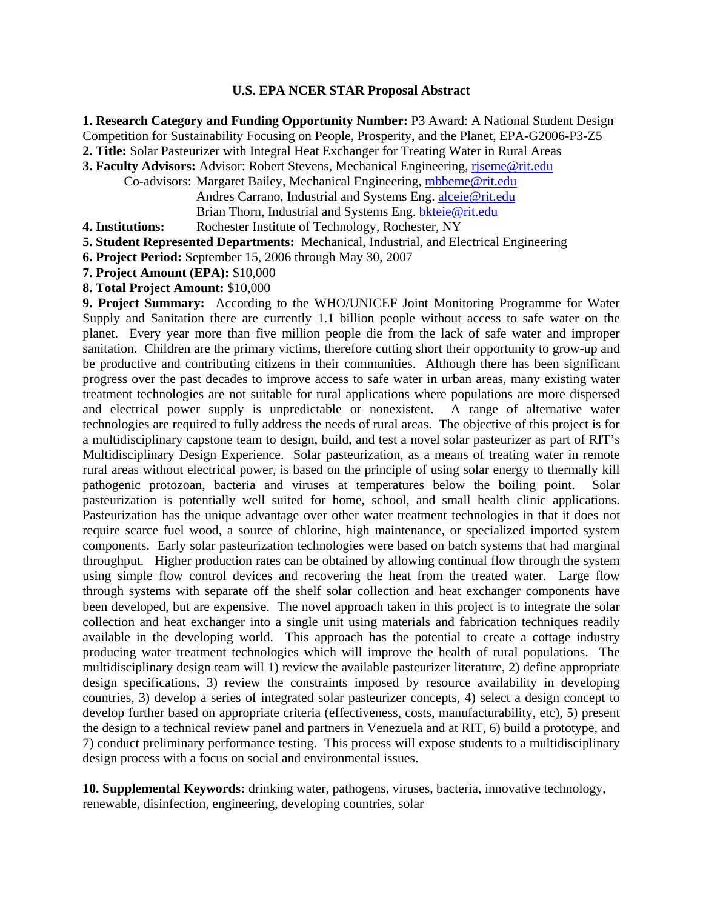# **U.S. EPA NCER STAR Proposal Abstract**

**1. Research Category and Funding Opportunity Number:** P3 Award: A National Student Design Competition for Sustainability Focusing on People, Prosperity, and the Planet, EPA-G2006-P3-Z5 **2. Title:** Solar Pasteurizer with Integral Heat Exchanger for Treating Water in Rural Areas

**3. Faculty Advisors:** Advisor: Robert Stevens, Mechanical Engineering, riseme@rit.edu

- Co-advisors: Margaret Bailey, Mechanical Engineering, mbbeme@rit.edu Andres Carrano, Industrial and Systems Eng. alceie@rit.edu Brian Thorn, Industrial and Systems Eng. bkteie@rit.edu
- **4. Institutions:** Rochester Institute of Technology, Rochester, NY
- **5. Student Represented Departments:** Mechanical, Industrial, and Electrical Engineering
- **6. Project Period:** September 15, 2006 through May 30, 2007
- **7. Project Amount (EPA):** \$10,000
- **8. Total Project Amount:** \$10,000

**9. Project Summary:** According to the WHO/UNICEF Joint Monitoring Programme for Water Supply and Sanitation there are currently 1.1 billion people without access to safe water on the planet. Every year more than five million people die from the lack of safe water and improper sanitation. Children are the primary victims, therefore cutting short their opportunity to grow-up and be productive and contributing citizens in their communities. Although there has been significant progress over the past decades to improve access to safe water in urban areas, many existing water treatment technologies are not suitable for rural applications where populations are more dispersed and electrical power supply is unpredictable or nonexistent. A range of alternative water technologies are required to fully address the needs of rural areas. The objective of this project is for a multidisciplinary capstone team to design, build, and test a novel solar pasteurizer as part of RIT's Multidisciplinary Design Experience. Solar pasteurization, as a means of treating water in remote rural areas without electrical power, is based on the principle of using solar energy to thermally kill pathogenic protozoan, bacteria and viruses at temperatures below the boiling point. Solar pasteurization is potentially well suited for home, school, and small health clinic applications. Pasteurization has the unique advantage over other water treatment technologies in that it does not require scarce fuel wood, a source of chlorine, high maintenance, or specialized imported system components. Early solar pasteurization technologies were based on batch systems that had marginal throughput. Higher production rates can be obtained by allowing continual flow through the system using simple flow control devices and recovering the heat from the treated water. Large flow through systems with separate off the shelf solar collection and heat exchanger components have been developed, but are expensive. The novel approach taken in this project is to integrate the solar collection and heat exchanger into a single unit using materials and fabrication techniques readily available in the developing world. This approach has the potential to create a cottage industry producing water treatment technologies which will improve the health of rural populations. The multidisciplinary design team will 1) review the available pasteurizer literature, 2) define appropriate design specifications, 3) review the constraints imposed by resource availability in developing countries, 3) develop a series of integrated solar pasteurizer concepts, 4) select a design concept to develop further based on appropriate criteria (effectiveness, costs, manufacturability, etc), 5) present the design to a technical review panel and partners in Venezuela and at RIT, 6) build a prototype, and 7) conduct preliminary performance testing. This process will expose students to a multidisciplinary design process with a focus on social and environmental issues.

**10. Supplemental Keywords:** drinking water, pathogens, viruses, bacteria, innovative technology, renewable, disinfection, engineering, developing countries, solar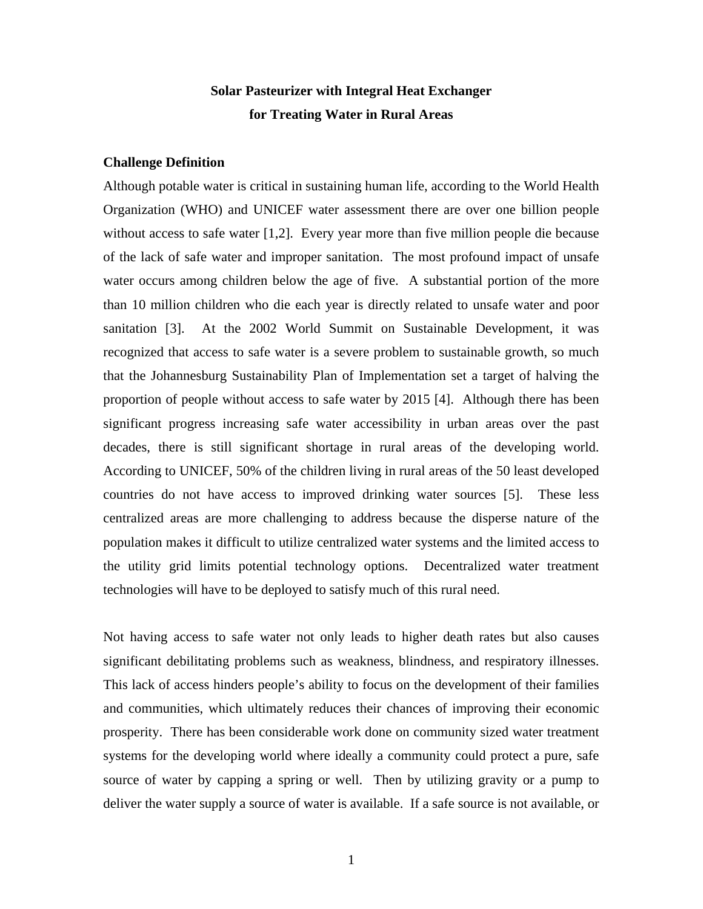# **Solar Pasteurizer with Integral Heat Exchanger for Treating Water in Rural Areas**

### **Challenge Definition**

Although potable water is critical in sustaining human life, according to the World Health Organization (WHO) and UNICEF water assessment there are over one billion people without access to safe water [1,2]. Every year more than five million people die because of the lack of safe water and improper sanitation. The most profound impact of unsafe water occurs among children below the age of five. A substantial portion of the more than 10 million children who die each year is directly related to unsafe water and poor sanitation [3]. At the 2002 World Summit on Sustainable Development, it was recognized that access to safe water is a severe problem to sustainable growth, so much that the Johannesburg Sustainability Plan of Implementation set a target of halving the proportion of people without access to safe water by 2015 [4]. Although there has been significant progress increasing safe water accessibility in urban areas over the past decades, there is still significant shortage in rural areas of the developing world. According to UNICEF, 50% of the children living in rural areas of the 50 least developed countries do not have access to improved drinking water sources [5]. These less centralized areas are more challenging to address because the disperse nature of the population makes it difficult to utilize centralized water systems and the limited access to the utility grid limits potential technology options. Decentralized water treatment technologies will have to be deployed to satisfy much of this rural need.

Not having access to safe water not only leads to higher death rates but also causes significant debilitating problems such as weakness, blindness, and respiratory illnesses. This lack of access hinders people's ability to focus on the development of their families and communities, which ultimately reduces their chances of improving their economic prosperity. There has been considerable work done on community sized water treatment systems for the developing world where ideally a community could protect a pure, safe source of water by capping a spring or well. Then by utilizing gravity or a pump to deliver the water supply a source of water is available. If a safe source is not available, or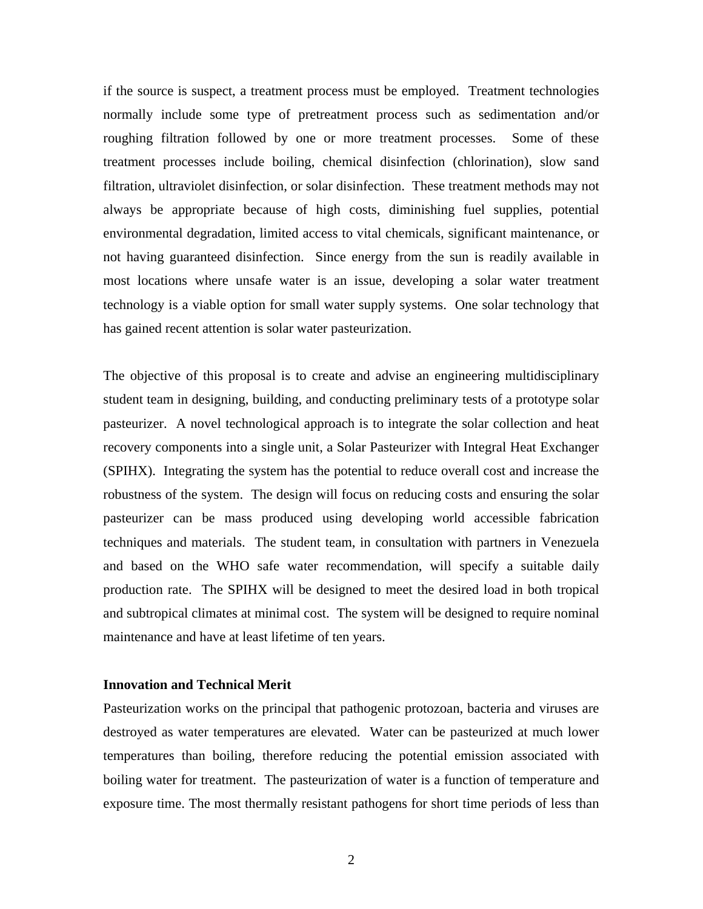if the source is suspect, a treatment process must be employed. Treatment technologies normally include some type of pretreatment process such as sedimentation and/or roughing filtration followed by one or more treatment processes. Some of these treatment processes include boiling, chemical disinfection (chlorination), slow sand filtration, ultraviolet disinfection, or solar disinfection. These treatment methods may not always be appropriate because of high costs, diminishing fuel supplies, potential environmental degradation, limited access to vital chemicals, significant maintenance, or not having guaranteed disinfection. Since energy from the sun is readily available in most locations where unsafe water is an issue, developing a solar water treatment technology is a viable option for small water supply systems. One solar technology that has gained recent attention is solar water pasteurization.

The objective of this proposal is to create and advise an engineering multidisciplinary student team in designing, building, and conducting preliminary tests of a prototype solar pasteurizer. A novel technological approach is to integrate the solar collection and heat recovery components into a single unit, a Solar Pasteurizer with Integral Heat Exchanger (SPIHX). Integrating the system has the potential to reduce overall cost and increase the robustness of the system. The design will focus on reducing costs and ensuring the solar pasteurizer can be mass produced using developing world accessible fabrication techniques and materials. The student team, in consultation with partners in Venezuela and based on the WHO safe water recommendation, will specify a suitable daily production rate. The SPIHX will be designed to meet the desired load in both tropical and subtropical climates at minimal cost. The system will be designed to require nominal maintenance and have at least lifetime of ten years.

# **Innovation and Technical Merit**

Pasteurization works on the principal that pathogenic protozoan, bacteria and viruses are destroyed as water temperatures are elevated. Water can be pasteurized at much lower temperatures than boiling, therefore reducing the potential emission associated with boiling water for treatment. The pasteurization of water is a function of temperature and exposure time. The most thermally resistant pathogens for short time periods of less than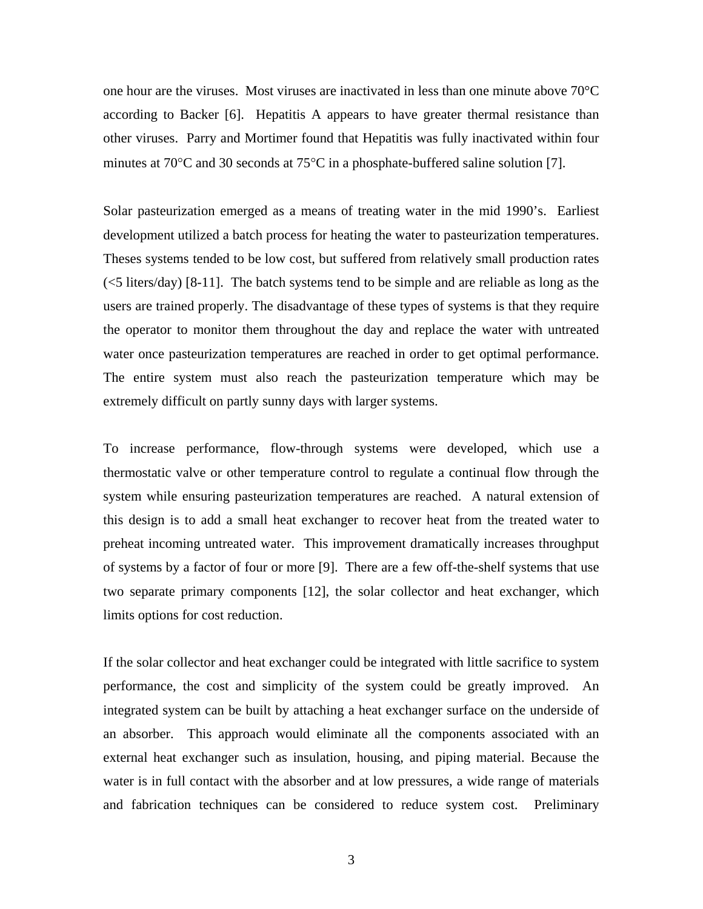one hour are the viruses. Most viruses are inactivated in less than one minute above 70°C according to Backer [6]. Hepatitis A appears to have greater thermal resistance than other viruses. Parry and Mortimer found that Hepatitis was fully inactivated within four minutes at 70°C and 30 seconds at 75°C in a phosphate-buffered saline solution [7].

Solar pasteurization emerged as a means of treating water in the mid 1990's. Earliest development utilized a batch process for heating the water to pasteurization temperatures. Theses systems tended to be low cost, but suffered from relatively small production rates (<5 liters/day) [8-11]. The batch systems tend to be simple and are reliable as long as the users are trained properly. The disadvantage of these types of systems is that they require the operator to monitor them throughout the day and replace the water with untreated water once pasteurization temperatures are reached in order to get optimal performance. The entire system must also reach the pasteurization temperature which may be extremely difficult on partly sunny days with larger systems.

To increase performance, flow-through systems were developed, which use a thermostatic valve or other temperature control to regulate a continual flow through the system while ensuring pasteurization temperatures are reached. A natural extension of this design is to add a small heat exchanger to recover heat from the treated water to preheat incoming untreated water. This improvement dramatically increases throughput of systems by a factor of four or more [9]. There are a few off-the-shelf systems that use two separate primary components [12], the solar collector and heat exchanger, which limits options for cost reduction.

If the solar collector and heat exchanger could be integrated with little sacrifice to system performance, the cost and simplicity of the system could be greatly improved. An integrated system can be built by attaching a heat exchanger surface on the underside of an absorber. This approach would eliminate all the components associated with an external heat exchanger such as insulation, housing, and piping material. Because the water is in full contact with the absorber and at low pressures, a wide range of materials and fabrication techniques can be considered to reduce system cost. Preliminary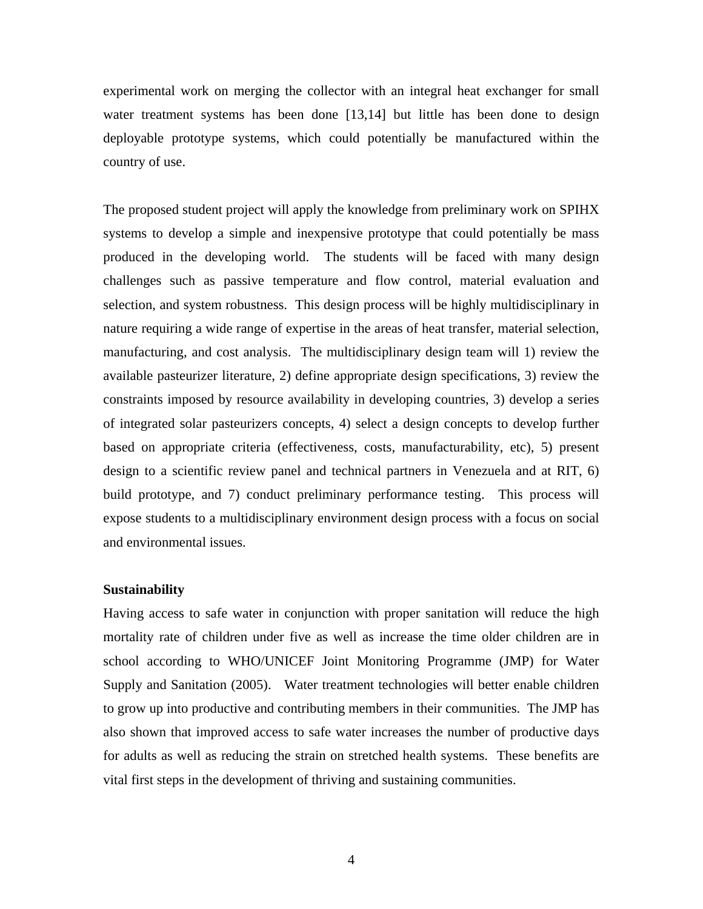experimental work on merging the collector with an integral heat exchanger for small water treatment systems has been done [13,14] but little has been done to design deployable prototype systems, which could potentially be manufactured within the country of use.

The proposed student project will apply the knowledge from preliminary work on SPIHX systems to develop a simple and inexpensive prototype that could potentially be mass produced in the developing world. The students will be faced with many design challenges such as passive temperature and flow control, material evaluation and selection, and system robustness. This design process will be highly multidisciplinary in nature requiring a wide range of expertise in the areas of heat transfer, material selection, manufacturing, and cost analysis. The multidisciplinary design team will 1) review the available pasteurizer literature, 2) define appropriate design specifications, 3) review the constraints imposed by resource availability in developing countries, 3) develop a series of integrated solar pasteurizers concepts, 4) select a design concepts to develop further based on appropriate criteria (effectiveness, costs, manufacturability, etc), 5) present design to a scientific review panel and technical partners in Venezuela and at RIT, 6) build prototype, and 7) conduct preliminary performance testing. This process will expose students to a multidisciplinary environment design process with a focus on social and environmental issues.

# **Sustainability**

Having access to safe water in conjunction with proper sanitation will reduce the high mortality rate of children under five as well as increase the time older children are in school according to WHO/UNICEF Joint Monitoring Programme (JMP) for Water Supply and Sanitation (2005). Water treatment technologies will better enable children to grow up into productive and contributing members in their communities. The JMP has also shown that improved access to safe water increases the number of productive days for adults as well as reducing the strain on stretched health systems. These benefits are vital first steps in the development of thriving and sustaining communities.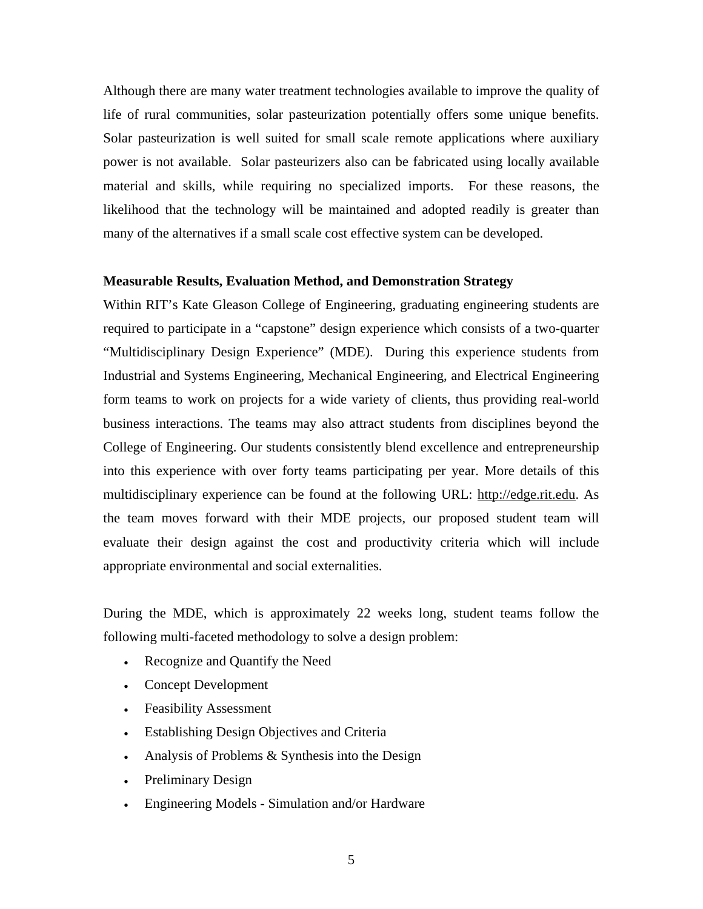Although there are many water treatment technologies available to improve the quality of life of rural communities, solar pasteurization potentially offers some unique benefits. Solar pasteurization is well suited for small scale remote applications where auxiliary power is not available. Solar pasteurizers also can be fabricated using locally available material and skills, while requiring no specialized imports. For these reasons, the likelihood that the technology will be maintained and adopted readily is greater than many of the alternatives if a small scale cost effective system can be developed.

# **Measurable Results, Evaluation Method, and Demonstration Strategy**

Within RIT's Kate Gleason College of Engineering, graduating engineering students are required to participate in a "capstone" design experience which consists of a two-quarter "Multidisciplinary Design Experience" (MDE). During this experience students from Industrial and Systems Engineering, Mechanical Engineering, and Electrical Engineering form teams to work on projects for a wide variety of clients, thus providing real-world business interactions. The teams may also attract students from disciplines beyond the College of Engineering. Our students consistently blend excellence and entrepreneurship into this experience with over forty teams participating per year. More details of this multidisciplinary experience can be found at the following URL: http://edge.rit.edu. As the team moves forward with their MDE projects, our proposed student team will evaluate their design against the cost and productivity criteria which will include appropriate environmental and social externalities.

During the MDE, which is approximately 22 weeks long, student teams follow the following multi-faceted methodology to solve a design problem:

- Recognize and Quantify the Need
- Concept Development
- Feasibility Assessment
- Establishing Design Objectives and Criteria
- Analysis of Problems & Synthesis into the Design
- Preliminary Design
- Engineering Models Simulation and/or Hardware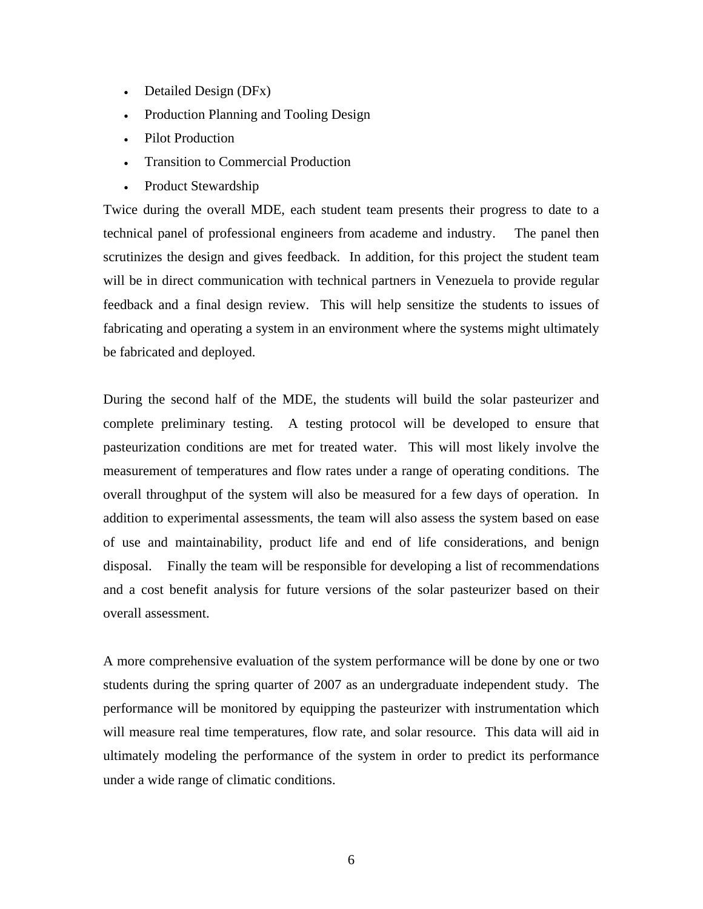- Detailed Design (DFx)
- Production Planning and Tooling Design
- Pilot Production
- Transition to Commercial Production
- Product Stewardship

Twice during the overall MDE, each student team presents their progress to date to a technical panel of professional engineers from academe and industry. The panel then scrutinizes the design and gives feedback. In addition, for this project the student team will be in direct communication with technical partners in Venezuela to provide regular feedback and a final design review. This will help sensitize the students to issues of fabricating and operating a system in an environment where the systems might ultimately be fabricated and deployed.

During the second half of the MDE, the students will build the solar pasteurizer and complete preliminary testing. A testing protocol will be developed to ensure that pasteurization conditions are met for treated water. This will most likely involve the measurement of temperatures and flow rates under a range of operating conditions. The overall throughput of the system will also be measured for a few days of operation. In addition to experimental assessments, the team will also assess the system based on ease of use and maintainability, product life and end of life considerations, and benign disposal. Finally the team will be responsible for developing a list of recommendations and a cost benefit analysis for future versions of the solar pasteurizer based on their overall assessment.

A more comprehensive evaluation of the system performance will be done by one or two students during the spring quarter of 2007 as an undergraduate independent study. The performance will be monitored by equipping the pasteurizer with instrumentation which will measure real time temperatures, flow rate, and solar resource. This data will aid in ultimately modeling the performance of the system in order to predict its performance under a wide range of climatic conditions.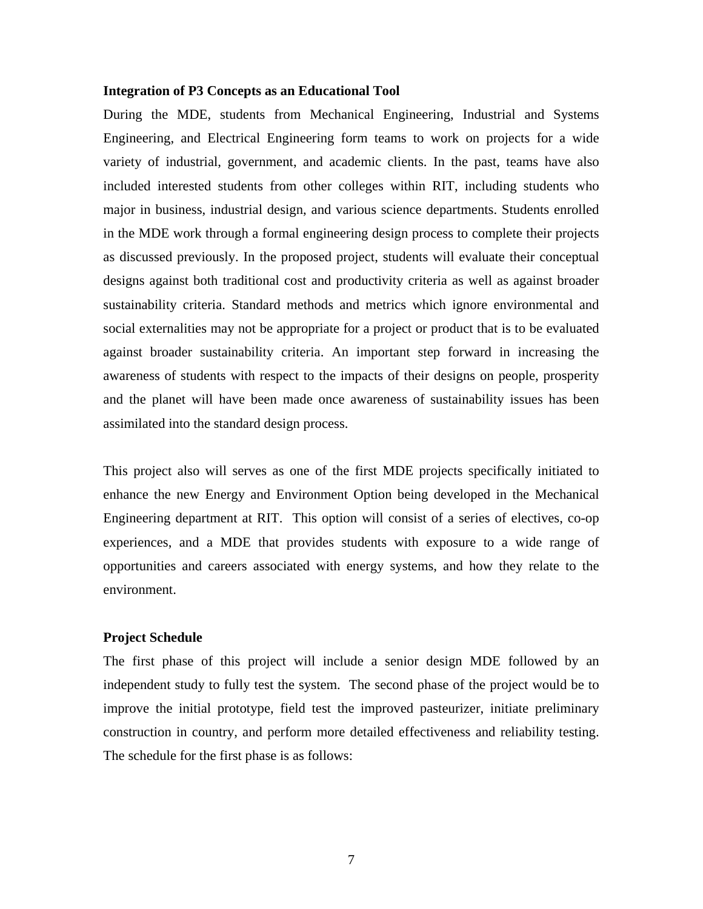### **Integration of P3 Concepts as an Educational Tool**

During the MDE, students from Mechanical Engineering, Industrial and Systems Engineering, and Electrical Engineering form teams to work on projects for a wide variety of industrial, government, and academic clients. In the past, teams have also included interested students from other colleges within RIT, including students who major in business, industrial design, and various science departments. Students enrolled in the MDE work through a formal engineering design process to complete their projects as discussed previously. In the proposed project, students will evaluate their conceptual designs against both traditional cost and productivity criteria as well as against broader sustainability criteria. Standard methods and metrics which ignore environmental and social externalities may not be appropriate for a project or product that is to be evaluated against broader sustainability criteria. An important step forward in increasing the awareness of students with respect to the impacts of their designs on people, prosperity and the planet will have been made once awareness of sustainability issues has been assimilated into the standard design process.

This project also will serves as one of the first MDE projects specifically initiated to enhance the new Energy and Environment Option being developed in the Mechanical Engineering department at RIT. This option will consist of a series of electives, co-op experiences, and a MDE that provides students with exposure to a wide range of opportunities and careers associated with energy systems, and how they relate to the environment.

# **Project Schedule**

The first phase of this project will include a senior design MDE followed by an independent study to fully test the system. The second phase of the project would be to improve the initial prototype, field test the improved pasteurizer, initiate preliminary construction in country, and perform more detailed effectiveness and reliability testing. The schedule for the first phase is as follows: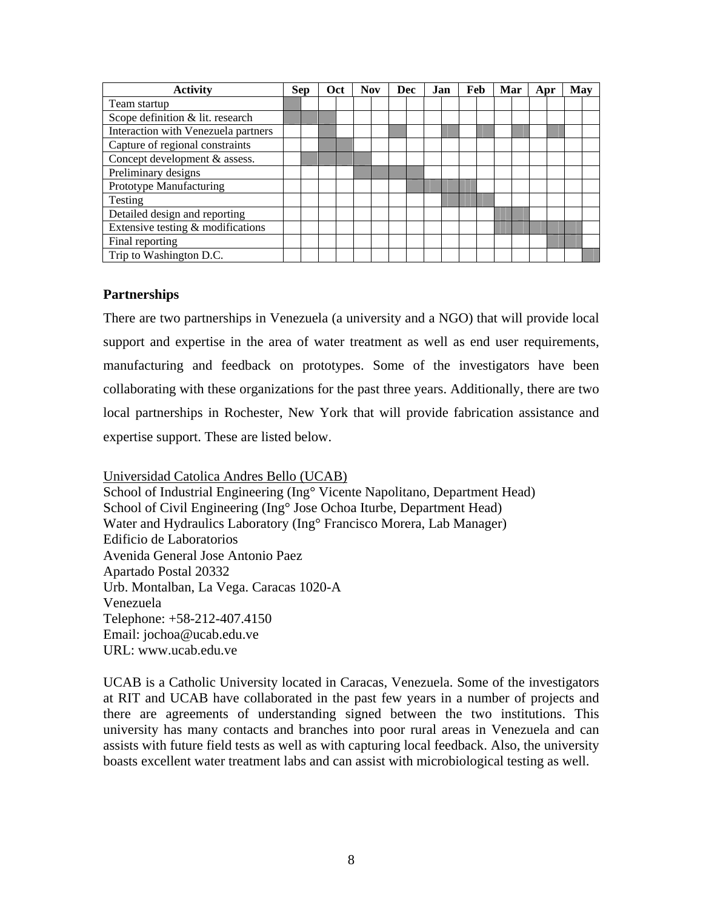| <b>Activity</b>                     |  | Sep | Oct | <b>Nov</b> |  | <b>Dec</b> | Jan | Feb | Mar | Apr | May |  |
|-------------------------------------|--|-----|-----|------------|--|------------|-----|-----|-----|-----|-----|--|
| Team startup                        |  |     |     |            |  |            |     |     |     |     |     |  |
| Scope definition & lit. research    |  |     |     |            |  |            |     |     |     |     |     |  |
| Interaction with Venezuela partners |  |     |     |            |  |            |     |     |     |     |     |  |
| Capture of regional constraints     |  |     |     |            |  |            |     |     |     |     |     |  |
| Concept development & assess.       |  |     |     |            |  |            |     |     |     |     |     |  |
| Preliminary designs                 |  |     |     |            |  |            |     |     |     |     |     |  |
| Prototype Manufacturing             |  |     |     |            |  |            |     |     |     |     |     |  |
| Testing                             |  |     |     |            |  |            |     |     |     |     |     |  |
| Detailed design and reporting       |  |     |     |            |  |            |     |     |     |     |     |  |
| Extensive testing & modifications   |  |     |     |            |  |            |     |     |     |     |     |  |
| Final reporting                     |  |     |     |            |  |            |     |     |     |     |     |  |
| Trip to Washington D.C.             |  |     |     |            |  |            |     |     |     |     |     |  |

# **Partnerships**

There are two partnerships in Venezuela (a university and a NGO) that will provide local support and expertise in the area of water treatment as well as end user requirements, manufacturing and feedback on prototypes. Some of the investigators have been collaborating with these organizations for the past three years. Additionally, there are two local partnerships in Rochester, New York that will provide fabrication assistance and expertise support. These are listed below.

Universidad Catolica Andres Bello (UCAB) School of Industrial Engineering (Ing° Vicente Napolitano, Department Head) School of Civil Engineering (Ing° Jose Ochoa Iturbe, Department Head) Water and Hydraulics Laboratory (Ing° Francisco Morera, Lab Manager) Edificio de Laboratorios Avenida General Jose Antonio Paez Apartado Postal 20332 Urb. Montalban, La Vega. Caracas 1020-A Venezuela Telephone: +58-212-407.4150 Email: jochoa@ucab.edu.ve URL: www.ucab.edu.ve

UCAB is a Catholic University located in Caracas, Venezuela. Some of the investigators at RIT and UCAB have collaborated in the past few years in a number of projects and there are agreements of understanding signed between the two institutions. This university has many contacts and branches into poor rural areas in Venezuela and can assists with future field tests as well as with capturing local feedback. Also, the university boasts excellent water treatment labs and can assist with microbiological testing as well.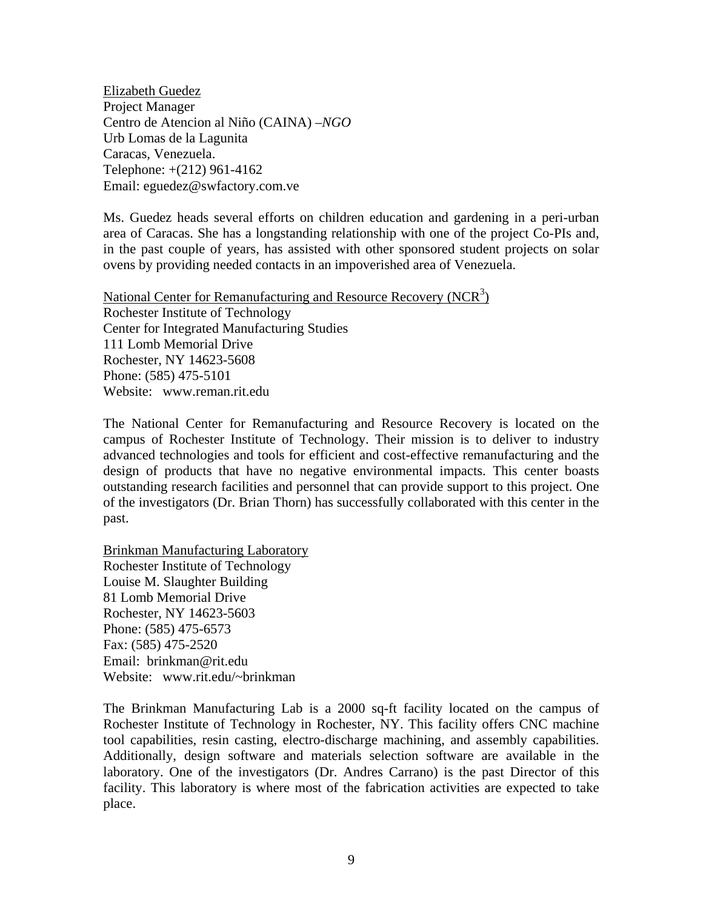Elizabeth Guedez Project Manager Centro de Atencion al Niño (CAINA) –*NGO* Urb Lomas de la Lagunita Caracas, Venezuela. Telephone: +(212) 961-4162 Email: eguedez@swfactory.com.ve

Ms. Guedez heads several efforts on children education and gardening in a peri-urban area of Caracas. She has a longstanding relationship with one of the project Co-PIs and, in the past couple of years, has assisted with other sponsored student projects on solar ovens by providing needed contacts in an impoverished area of Venezuela.

National Center for Remanufacturing and Resource Recovery (NCR<sup>3</sup>) Rochester Institute of Technology Center for Integrated Manufacturing Studies 111 Lomb Memorial Drive Rochester, NY 14623-5608 Phone: (585) 475-5101 Website: www.reman.rit.edu

The National Center for Remanufacturing and Resource Recovery is located on the campus of Rochester Institute of Technology. Their mission is to deliver to industry advanced technologies and tools for efficient and cost-effective remanufacturing and the design of products that have no negative environmental impacts. This center boasts outstanding research facilities and personnel that can provide support to this project. One of the investigators (Dr. Brian Thorn) has successfully collaborated with this center in the past.

Brinkman Manufacturing Laboratory Rochester Institute of Technology Louise M. Slaughter Building 81 Lomb Memorial Drive Rochester, NY 14623-5603 Phone: (585) 475-6573 Fax: (585) 475-2520 Email: brinkman@rit.edu Website: www.rit.edu/~brinkman

The Brinkman Manufacturing Lab is a 2000 sq-ft facility located on the campus of Rochester Institute of Technology in Rochester, NY. This facility offers CNC machine tool capabilities, resin casting, electro-discharge machining, and assembly capabilities. Additionally, design software and materials selection software are available in the laboratory. One of the investigators (Dr. Andres Carrano) is the past Director of this facility. This laboratory is where most of the fabrication activities are expected to take place.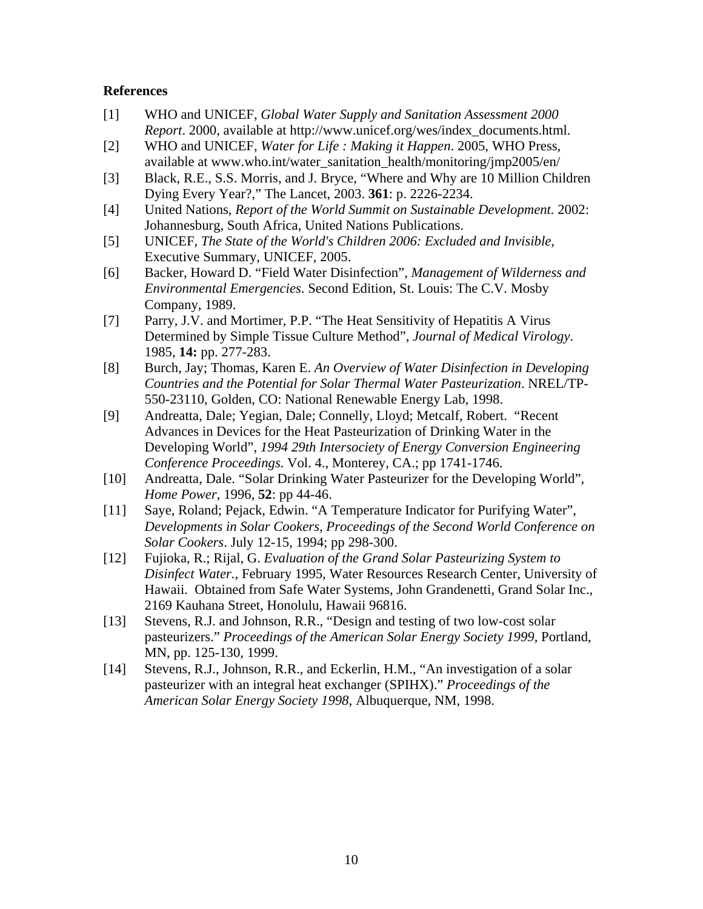# **References**

- [1] WHO and UNICEF, *Global Water Supply and Sanitation Assessment 2000 Report*. 2000, available at http://www.unicef.org/wes/index\_documents.html.
- [2] WHO and UNICEF, *Water for Life : Making it Happen*. 2005, WHO Press, available at www.who.int/water\_sanitation\_health/monitoring/jmp2005/en/
- [3] Black, R.E., S.S. Morris, and J. Bryce, "Where and Why are 10 Million Children Dying Every Year?," The Lancet, 2003. **361**: p. 2226-2234.
- [4] United Nations, *Report of the World Summit on Sustainable Development.* 2002: Johannesburg, South Africa, United Nations Publications.
- [5] UNICEF, *The State of the World's Children 2006: Excluded and Invisible*, Executive Summary, UNICEF, 2005.
- [6] Backer, Howard D. "Field Water Disinfection", *Management of Wilderness and Environmental Emergencies*. Second Edition, St. Louis: The C.V. Mosby Company, 1989.
- [7] Parry, J.V. and Mortimer, P.P. "The Heat Sensitivity of Hepatitis A Virus Determined by Simple Tissue Culture Method", *Journal of Medical Virology*. 1985, **14:** pp. 277-283.
- [8] Burch, Jay; Thomas, Karen E. *An Overview of Water Disinfection in Developing Countries and the Potential for Solar Thermal Water Pasteurization*. NREL/TP-550-23110, Golden, CO: National Renewable Energy Lab, 1998.
- [9] Andreatta, Dale; Yegian, Dale; Connelly, Lloyd; Metcalf, Robert. "Recent Advances in Devices for the Heat Pasteurization of Drinking Water in the Developing World", *1994 29th Intersociety of Energy Conversion Engineering Conference Proceedings*. Vol. 4., Monterey, CA.; pp 1741-1746.
- [10] Andreatta, Dale. "Solar Drinking Water Pasteurizer for the Developing World", *Home Power*, 1996, **52**: pp 44-46.
- [11] Saye, Roland; Pejack, Edwin. "A Temperature Indicator for Purifying Water", *Developments in Solar Cookers, Proceedings of the Second World Conference on Solar Cookers*. July 12-15, 1994; pp 298-300.
- [12] Fujioka, R.; Rijal, G. *Evaluation of the Grand Solar Pasteurizing System to Disinfect Water.*, February 1995, Water Resources Research Center, University of Hawaii. Obtained from Safe Water Systems, John Grandenetti, Grand Solar Inc., 2169 Kauhana Street, Honolulu, Hawaii 96816.
- [13] Stevens, R.J. and Johnson, R.R., "Design and testing of two low-cost solar pasteurizers." *Proceedings of the American Solar Energy Society 1999*, Portland, MN, pp. 125-130, 1999.
- [14] Stevens, R.J., Johnson, R.R., and Eckerlin, H.M., "An investigation of a solar pasteurizer with an integral heat exchanger (SPIHX)." *Proceedings of the American Solar Energy Society 1998*, Albuquerque, NM, 1998.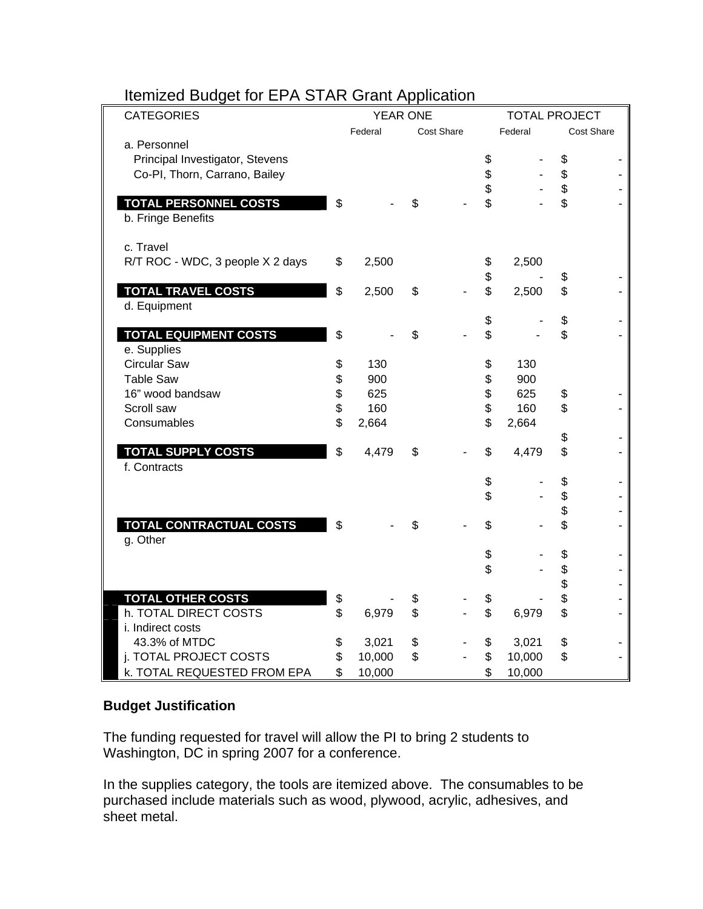| ---<br><b>CATEGORIES</b>                           | <b>YEAR ONE</b><br><b>TOTAL PROJECT</b> |    |                   |          |         |          |            |
|----------------------------------------------------|-----------------------------------------|----|-------------------|----------|---------|----------|------------|
|                                                    | Federal                                 |    | <b>Cost Share</b> |          | Federal |          | Cost Share |
| a. Personnel<br>Principal Investigator, Stevens    |                                         |    |                   | \$       |         | \$       |            |
| Co-PI, Thorn, Carrano, Bailey                      |                                         |    |                   | \$<br>\$ |         | \$<br>\$ |            |
| <b>TOTAL PERSONNEL COSTS</b><br>b. Fringe Benefits | \$                                      | \$ |                   | \$       |         | \$       |            |
| c. Travel                                          |                                         |    |                   |          |         |          |            |
| R/T ROC - WDC, 3 people X 2 days                   | \$<br>2,500                             |    |                   | \$<br>\$ | 2,500   | \$       |            |
| <b>TOTAL TRAVEL COSTS</b>                          | \$<br>2,500                             | \$ |                   | \$       | 2,500   | \$       |            |
| d. Equipment                                       |                                         |    |                   |          |         |          |            |
| <b>TOTAL EQUIPMENT COSTS</b>                       | \$                                      | \$ |                   | \$<br>\$ |         | \$<br>\$ |            |
| e. Supplies                                        |                                         |    |                   |          |         |          |            |
| <b>Circular Saw</b>                                | \$<br>130                               |    |                   | \$       | 130     |          |            |
| <b>Table Saw</b>                                   | \$<br>900                               |    |                   | \$       | 900     |          |            |
| 16" wood bandsaw                                   | \$<br>625                               |    |                   | \$       | 625     | \$       |            |
| Scroll saw                                         | \$<br>160                               |    |                   | \$       | 160     | \$       |            |
| Consumables                                        | \$<br>2,664                             |    |                   | \$       | 2,664   |          |            |
|                                                    |                                         |    |                   |          |         | \$       |            |
| <b>TOTAL SUPPLY COSTS</b><br>f. Contracts          | \$<br>4,479                             | \$ |                   | \$       | 4,479   | \$       |            |
|                                                    |                                         |    |                   | \$       |         | \$       |            |
|                                                    |                                         |    |                   | \$       |         | \$       |            |
|                                                    |                                         |    |                   |          |         | \$       |            |
| <b>TOTAL CONTRACTUAL COSTS</b><br>g. Other         | \$                                      | \$ |                   | \$       |         | \$       |            |
|                                                    |                                         |    |                   | \$       |         | \$       |            |
|                                                    |                                         |    |                   | \$       |         | \$       |            |
|                                                    |                                         |    |                   |          |         | \$       |            |
| <b>TOTAL OTHER COSTS</b>                           | \$                                      | \$ |                   | \$       |         | \$       |            |
| h. TOTAL DIRECT COSTS                              | \$<br>6,979                             | \$ |                   | \$       | 6,979   | \$       |            |
| i. Indirect costs                                  |                                         |    |                   |          |         |          |            |
| 43.3% of MTDC                                      | \$<br>3,021                             | \$ |                   | \$       | 3,021   | \$       |            |
| j. TOTAL PROJECT COSTS                             | \$<br>10,000                            | \$ |                   | \$       | 10,000  | \$       |            |
| k. TOTAL REQUESTED FROM EPA                        | \$<br>10,000                            |    |                   | \$       | 10,000  |          |            |

# Itemized Budget for EPA STAR Grant Application

# **Budget Justification**

The funding requested for travel will allow the PI to bring 2 students to Washington, DC in spring 2007 for a conference.

In the supplies category, the tools are itemized above. The consumables to be purchased include materials such as wood, plywood, acrylic, adhesives, and sheet metal.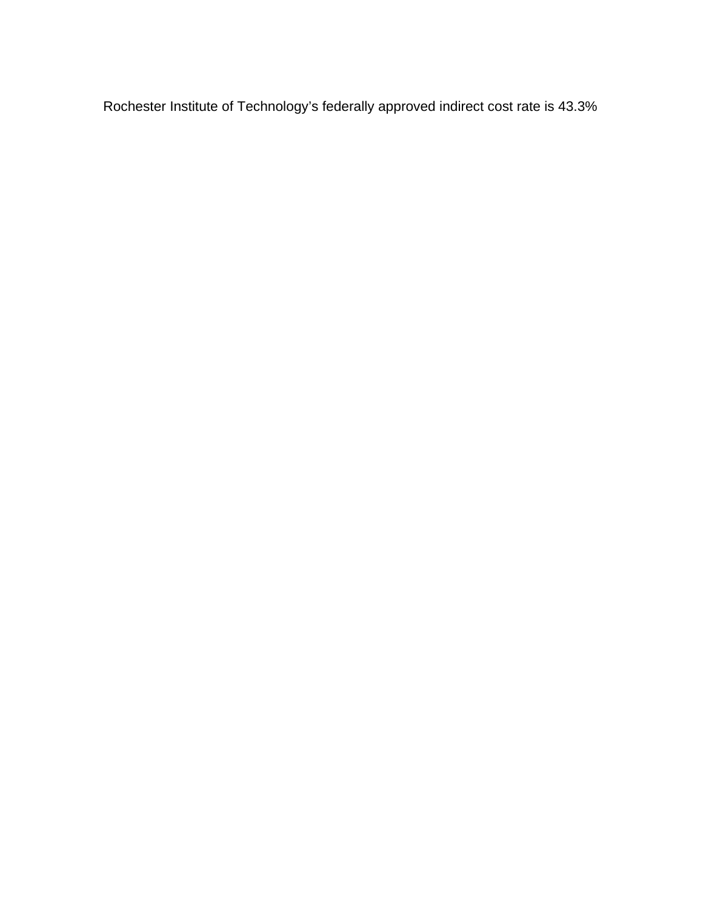Rochester Institute of Technology's federally approved indirect cost rate is 43.3%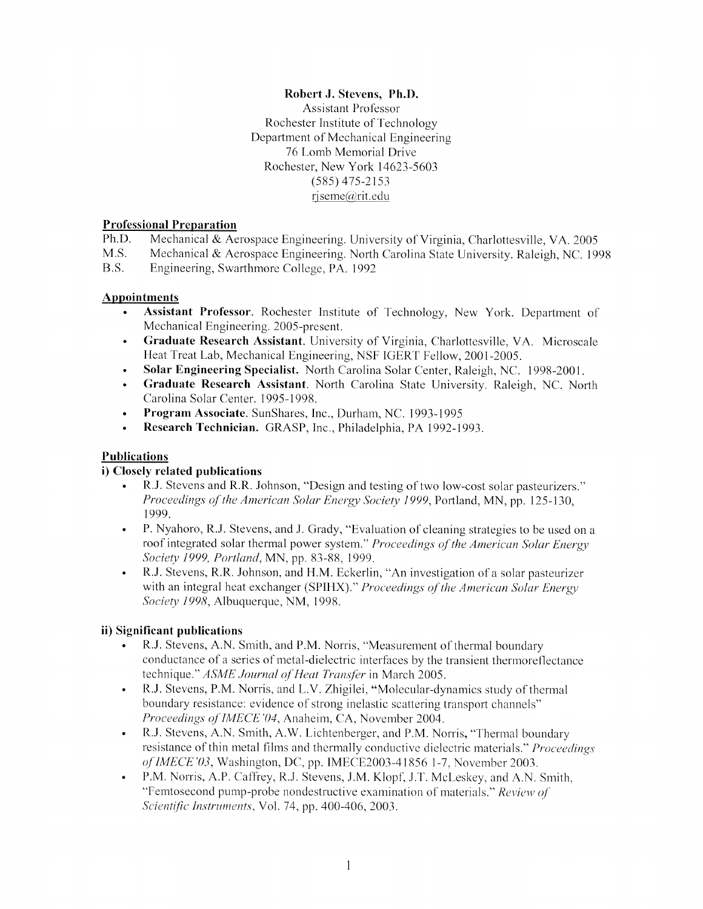# Robert J. Stevens, Ph.D. **Assistant Professor** Rochester Institute of Technology Department of Mechanical Engineering 76 Lomb Memorial Drive Rochester, New York 14623-5603  $(585)$  475-2153 rjseme@rit.edu

# **Professional Preparation**

Mechanical & Aerospace Engineering. University of Virginia, Charlottesville, VA. 2005 Ph.D.

 $M.S.$ Mechanical & Aerospace Engineering. North Carolina State University. Raleigh, NC. 1998

 $B.S.$ Engineering, Swarthmore College, PA. 1992

# **Appointments**

- Assistant Professor. Rochester Institute of Technology, New York. Department of  $\bullet$ Mechanical Engineering. 2005-present.
- Graduate Research Assistant. University of Virginia, Charlottesville, VA. Microscale  $\bullet$ Heat Treat Lab, Mechanical Engineering, NSF IGERT Fellow, 2001-2005.
- Solar Engineering Specialist. North Carolina Solar Center, Raleigh, NC. 1998-2001.
- Graduate Research Assistant. North Carolina State University. Raleigh, NC. North Carolina Solar Center. 1995-1998.
- $\bullet$ Program Associate. SunShares, Inc., Durham, NC. 1993-1995
- Research Technician. GRASP, Inc., Philadelphia, PA 1992-1993.  $\bullet$

# **Publications**

# i) Closely related publications

- R.J. Stevens and R.R. Johnson, "Design and testing of two low-cost solar pasteurizers." Proceedings of the American Solar Energy Society 1999, Portland, MN, pp. 125-130, 1999.
- P. Nyahoro, R.J. Stevens, and J. Grady, "Evaluation of cleaning strategies to be used on a  $\bullet$ roof integrated solar thermal power system." Proceedings of the American Solar Energy Society 1999, Portland, MN, pp. 83-88, 1999.
- R.J. Stevens, R.R. Johnson, and H.M. Eckerlin, "An investigation of a solar pasteurizer with an integral heat exchanger (SPIHX)." Proceedings of the American Solar Energy Society 1998, Albuquerque, NM, 1998.

# ii) Significant publications

- R.J. Stevens, A.N. Smith, and P.M. Norris, "Measurement of thermal boundary conductance of a series of metal-dielectric interfaces by the transient thermoreflectance technique." ASME Journal of Heat Transfer in March 2005.
- R.J. Stevens, P.M. Norris, and L.V. Zhigilei, "Molecular-dynamics study of thermal boundary resistance: evidence of strong inelastic scattering transport channels" Proceedings of IMECE'04, Anaheim, CA, November 2004.
- R.J. Stevens, A.N. Smith, A.W. Lichtenberger, and P.M. Norris, "Thermal boundary resistance of thin metal films and thermally conductive dielectric materials." Proceedings of IMECE'03, Washington, DC, pp. IMECE2003-41856 1-7, November 2003.
- P.M. Norris, A.P. Caffrey, R.J. Stevens, J.M. Klopf, J.T. McLeskey, and A.N. Smith, "Femtosecond pump-probe nondestructive examination of materials," Review of Scientific Instruments, Vol. 74, pp. 400-406, 2003.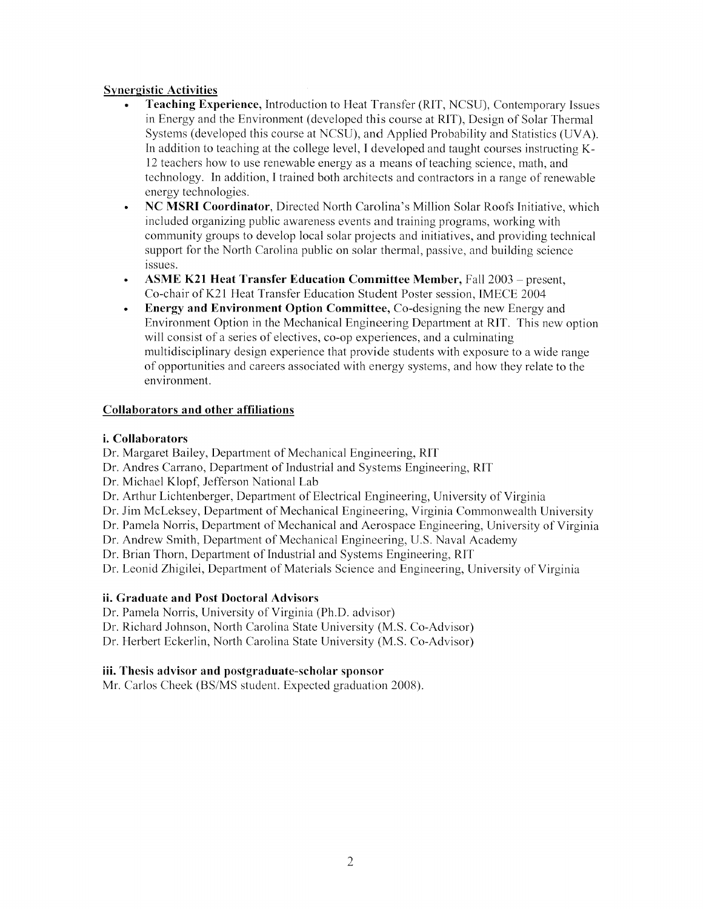# **Synergistic Activities**

- **Teaching Experience, Introduction to Heat Transfer (RIT, NCSU), Contemporary Issues** in Energy and the Environment (developed this course at RIT), Design of Solar Thermal Systems (developed this course at NCSU), and Applied Probability and Statistics (UVA). In addition to teaching at the college level, I developed and taught courses instructing K-12 teachers how to use renewable energy as a means of teaching science, math, and technology. In addition, I trained both architects and contractors in a range of renewable energy technologies.
- NC MSRI Coordinator, Directed North Carolina's Million Solar Roofs Initiative, which included organizing public awareness events and training programs, working with community groups to develop local solar projects and initiatives, and providing technical support for the North Carolina public on solar thermal, passive, and building science issues.
- **ASME K21 Heat Transfer Education Committee Member, Fall 2003** present, Co-chair of K21 Heat Transfer Education Student Poster session, IMECE 2004
- Energy and Environment Option Committee, Co-designing the new Energy and Environment Option in the Mechanical Engineering Department at RIT. This new option will consist of a series of electives, co-op experiences, and a culminating multidisciplinary design experience that provide students with exposure to a wide range of opportunities and careers associated with energy systems, and how they relate to the environment.

### **Collaborators and other affiliations**

### *i.* Collaborators

Dr. Margaret Bailey, Department of Mechanical Engineering, RIT

- Dr. Andres Carrano, Department of Industrial and Systems Engineering, RIT
- Dr. Michael Klopf, Jefferson National Lab
- Dr. Arthur Lichtenberger, Department of Electrical Engineering, University of Virginia
- Dr. Jim McLeksey, Department of Mechanical Engineering, Virginia Commonwealth University

Dr. Pamela Norris, Department of Mechanical and Aerospace Engineering, University of Virginia

- Dr. Andrew Smith, Department of Mechanical Engineering, U.S. Naval Academy
- Dr. Brian Thorn, Department of Industrial and Systems Engineering, RIT

Dr. Leonid Zhigilei, Department of Materials Science and Engineering, University of Virginia

### ii. Graduate and Post Doctoral Advisors

- Dr. Pamela Norris, University of Virginia (Ph.D. advisor)
- Dr. Richard Johnson, North Carolina State University (M.S. Co-Advisor)

Dr. Herbert Eckerlin, North Carolina State University (M.S. Co-Advisor)

### iii. Thesis advisor and postgraduate-scholar sponsor

Mr. Carlos Cheek (BS/MS student. Expected graduation 2008).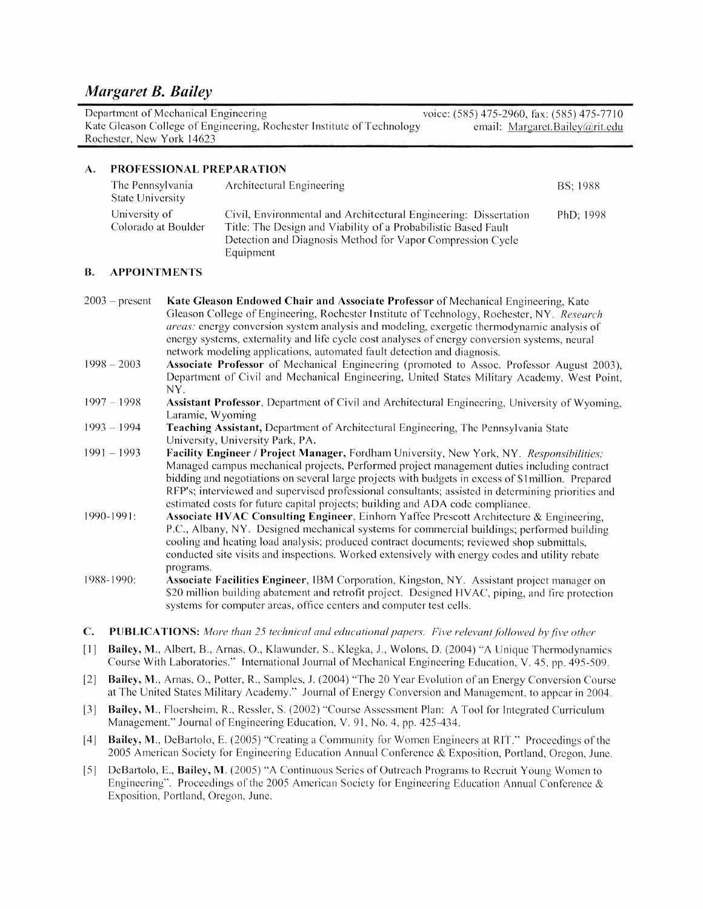Department of Mechanical Engineering voice: (585) 475-2960, fax: (585) 475-7710 Kate Gleason College of Engineering, Rochester Institute of Technology email: Margaret.Bailey@rit.edu Rochester, New York 14623

#### $\mathbf{A}$ . PROFESSIONAL PREPARATION

| The Pennsylvania<br><b>State University</b> | Architectural Engineering                                                                                                                                                                                     | BS: 1988  |
|---------------------------------------------|---------------------------------------------------------------------------------------------------------------------------------------------------------------------------------------------------------------|-----------|
| University of<br>Colorado at Boulder        | Civil, Environmental and Architectural Engineering: Dissertation<br>Title: The Design and Viability of a Probabilistic Based Fault<br>Detection and Diagnosis Method for Vapor Compression Cycle<br>Equipment | PhD: 1998 |

#### **B. APPOINTMENTS**

| $2003$ – present | Kate Gleason Endowed Chair and Associate Professor of Mechanical Engineering, Kate                |
|------------------|---------------------------------------------------------------------------------------------------|
|                  | Gleason College of Engineering, Rochester Institute of Technology, Rochester, NY. Research        |
|                  | <i>areas:</i> energy conversion system analysis and modeling, exergetic thermodynamic analysis of |
|                  | energy systems, externality and life cycle cost analyses of energy conversion systems, neural     |
|                  | network modeling applications, automated fault detection and diagnosis.                           |

- $1998 2003$ **Associate Professor** of Mechanical Engineering (promoted to Assoc. Professor August 2003), Department of Civil and Mechanical Engineering, United States Military Academy, West Point,  $N<sub>Y</sub>$
- $1997 1998$ Assistant Professor, Department of Civil and Architectural Engineering, University of Wyoming, Laramie, Wyoming
- Teaching Assistant, Department of Architectural Engineering, The Pennsylvania State  $1993 - 1994$ University, University Park, PA.
- $1991 1993$ Facility Engineer / Project Manager, Fordham University, New York, NY. Responsibilities: Managed campus mechanical projects, Performed project management duties including contract bidding and negotiations on several large projects with budgets in excess of \$1 million. Prepared RFP's; interviewed and supervised professional consultants; assisted in determining priorities and estimated costs for future capital projects; building and ADA code compliance.
- 1990-1991: Associate HVAC Consulting Engineer, Einhorn Yaffee Prescott Architecture & Engineering, P.C., Albany, NY. Designed mechanical systems for commercial buildings; performed building cooling and heating load analysis; produced contract documents; reviewed shop submittals, conducted site visits and inspections. Worked extensively with energy codes and utility rebate programs.
- 1988-1990: Associate Facilities Engineer, IBM Corporation, Kingston, NY. Assistant project manager on \$20 million building abatement and retrofit project. Designed HVAC, piping, and fire protection systems for computer areas, office centers and computer test cells.
- $C_{\bullet}$ **PUBLICATIONS:** More than 25 technical and educational papers. Five relevant followed by five other
- Bailey, M., Albert, B., Arnas, O., Klawunder, S., Klegka, J., Wolons, D. (2004) "A Unique Thermodynamics  $[1]$ Course With Laboratories." International Journal of Mechanical Engineering Education, V. 45, pp. 495-509.
- Bailey, M., Arnas, O., Potter, R., Samples, J. (2004) "The 20 Year Evolution of an Energy Conversion Course  $\lceil 2 \rceil$ at The United States Military Academy." Journal of Energy Conversion and Management, to appear in 2004.
- Bailey, M., Floersheim, R., Ressler, S. (2002) "Course Assessment Plan: A Tool for Integrated Curriculum  $\lceil 3 \rceil$ Management." Journal of Engineering Education, V. 91, No. 4, pp. 425-434.
- Bailey, M., DeBartolo, E. (2005) "Creating a Community for Women Engineers at RIT." Proceedings of the  $[4]$ 2005 American Society for Engineering Education Annual Conference & Exposition, Portland, Oregon, June.
- DeBartolo, E., Bailey, M. (2005) "A Continuous Series of Outreach Programs to Recruit Young Women to  $\lceil 5 \rceil$ Engineering". Proceedings of the 2005 American Society for Engineering Education Annual Conference & Exposition, Portland, Oregon, June.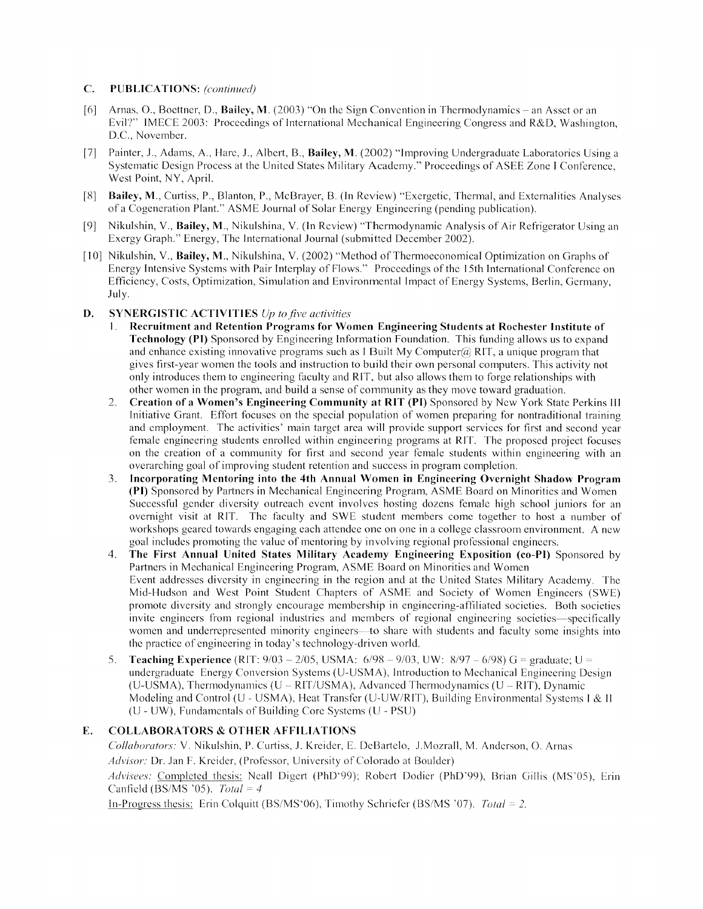#### $C_{\cdot}$ **PUBLICATIONS:** (continued)

- Arnas, O., Boettner, D., Bailey, M. (2003) "On the Sign Convention in Thermodynamics an Asset or an  $[6]$ Evil?" IMECE 2003: Proceedings of International Mechanical Engineering Congress and R&D, Washington. D.C., November.
- Painter, J., Adams, A., Hare, J., Albert, B., Bailey, M. (2002) "Improving Undergraduate Laboratories Using a  $\lceil 7 \rceil$ Systematic Design Process at the United States Military Academy." Proceedings of ASEE Zone I Conference, West Point, NY, April.
- [8] Bailey, M., Curtiss, P., Blanton, P., McBrayer, B. (In Review) "Exergetic, Thermal, and Externalities Analyses of a Cogeneration Plant." ASME Journal of Solar Energy Engineering (pending publication).
- Nikulshin, V., Bailey, M., Nikulshina, V. (In Review) "Thermodynamic Analysis of Air Refrigerator Using an  $[9]$ Exergy Graph." Energy, The International Journal (submitted December 2002).
- [10] Nikulshin, V., Bailey, M., Nikulshina, V. (2002) "Method of Thermoeconomical Optimization on Graphs of Energy Intensive Systems with Pair Interplay of Flows." Proceedings of the 15th International Conference on Efficiency, Costs, Optimization, Simulation and Environmental Impact of Energy Systems, Berlin, Germany, July.

#### D. **SYNERGISTIC ACTIVITIES**  $Up$  to five activities

- Recruitment and Retention Programs for Women Engineering Students at Rochester Institute of  $1.1$ Technology (PI) Sponsored by Engineering Information Foundation. This funding allows us to expand and enhance existing innovative programs such as I Built My Computer  $(a)$  RIT, a unique program that gives first-year women the tools and instruction to build their own personal computers. This activity not only introduces them to engineering faculty and RIT, but also allows them to forge relationships with other women in the program, and build a sense of community as they move toward graduation.
- Creation of a Women's Engineering Community at RIT (PI) Sponsored by New York State Perkins III  $2.$ Initiative Grant. Effort focuses on the special population of women preparing for nontraditional training and employment. The activities' main target area will provide support services for first and second year female engineering students enrolled within engineering programs at RIT. The proposed project focuses on the creation of a community for first and second year female students within engineering with an overarching goal of improving student retention and success in program completion.
- Incorporating Mentoring into the 4th Annual Women in Engineering Overnight Shadow Program  $3.$ (PI) Sponsored by Partners in Mechanical Engineering Program, ASME Board on Minorities and Women Successful gender diversity outreach event involves hosting dozens female high school juniors for an overnight visit at RIT. The faculty and SWE student members come together to host a number of workshops geared towards engaging each attendee one on one in a college classroom environment. A new goal includes promoting the value of mentoring by involving regional professional engineers.
- The First Annual United States Military Academy Engineering Exposition (co-PI) Sponsored by 4. Partners in Mechanical Engineering Program, ASME Board on Minorities and Women Event addresses diversity in engineering in the region and at the United States Military Academy. The Mid-Hudson and West Point Student Chapters of ASME and Society of Women Engineers (SWE) promote diversity and strongly encourage membership in engineering-affiliated societies. Both societies invite engineers from regional industries and members of regional engineering societies—specifically women and underrepresented minority engineers—to share with students and faculty some insights into the practice of engineering in today's technology-driven world.
- **Teaching Experience** (RIT:  $9/03 2/05$ , USMA:  $6/98 9/03$ , UW:  $8/97 6/98$ ) G = graduate; U = 5. undergraduate Energy Conversion Systems (U-USMA), Introduction to Mechanical Engineering Design (U-USMA), Thermodynamics (U - RIT/USMA), Advanced Thermodynamics (U - RIT), Dynamic Modeling and Control (U - USMA), Heat Transfer (U-UW/RIT), Building Environmental Systems 1 & II (U - UW), Fundamentals of Building Core Systems (U - PSU)

#### **COLLABORATORS & OTHER AFFILIATIONS** E.

Collaborators: V. Nikulshin, P. Curtiss, J. Kreider, E. DeBartelo, J.Mozrall, M. Anderson, O. Arnas Advisor: Dr. Jan F. Kreider, (Professor, University of Colorado at Boulder)

Advisees: Completed thesis: Neall Digert (PhD'99); Robert Dodier (PhD'99), Brian Gillis (MS'05), Erin Canfield (BS/MS '05). Total = 4

In-Progress thesis: Erin Colquitt (BS/MS<sup>'06</sup>), Timothy Schriefer (BS/MS<sup>'07</sup>). Total = 2.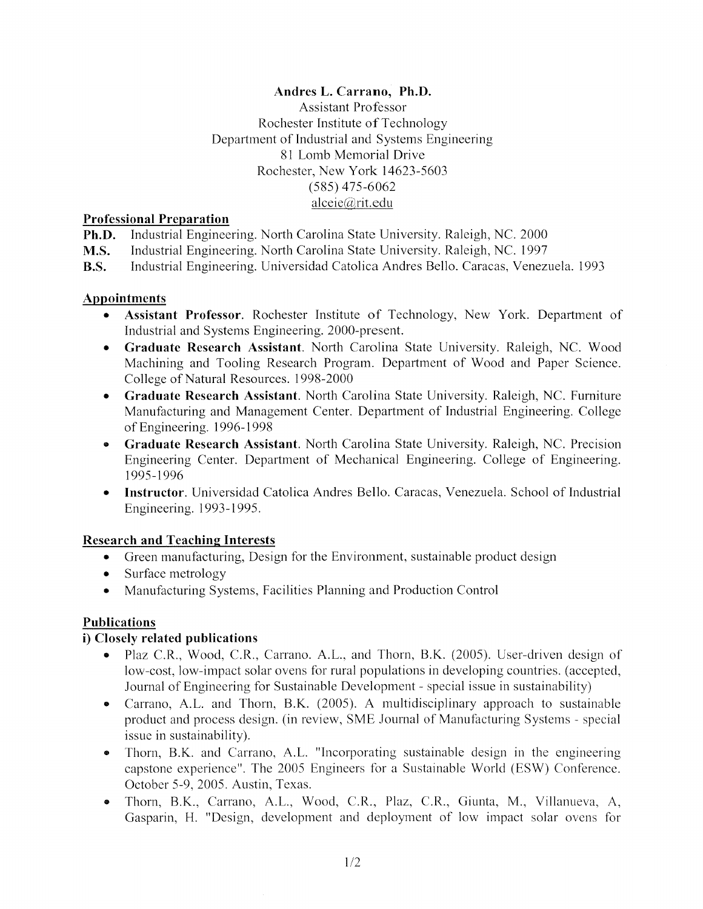# Andres L. Carrano, Ph.D.

**Assistant Professor** Rochester Institute of Technology Department of Industrial and Systems Engineering 81 Lomb Memorial Drive Rochester, New York 14623-5603  $(585)$  475-6062  $alecie@rit.edu$ 

# **Professional Preparation**

Industrial Engineering. North Carolina State University. Raleigh, NC. 2000 Ph.D.

 $M.S.$ Industrial Engineering. North Carolina State University. Raleigh, NC. 1997

Industrial Engineering. Universidad Catolica Andres Bello. Caracas, Venezuela. 1993 **B.S.** 

# **Appointments**

- Assistant Professor. Rochester Institute of Technology, New York. Department of Industrial and Systems Engineering. 2000-present.
- Graduate Research Assistant. North Carolina State University. Raleigh, NC. Wood Machining and Tooling Research Program. Department of Wood and Paper Science. College of Natural Resources. 1998-2000
- Graduate Research Assistant. North Carolina State University. Raleigh, NC. Furniture Manufacturing and Management Center. Department of Industrial Engineering. College of Engineering. 1996-1998
- Graduate Research Assistant. North Carolina State University. Raleigh, NC. Precision Engineering Center. Department of Mechanical Engineering. College of Engineering. 1995-1996
- Instructor. Universidad Catolica Andres Bello. Caracas, Venezuela. School of Industrial Engineering. 1993-1995.

# **Research and Teaching Interests**

- Green manufacturing, Design for the Environment, sustainable product design
- Surface metrology
- Manufacturing Systems, Facilities Planning and Production Control

# **Publications**

# i) Closely related publications

- Plaz C.R., Wood, C.R., Carrano. A.L., and Thorn, B.K. (2005). User-driven design of low-cost, low-impact solar ovens for rural populations in developing countries. (accepted, Journal of Engineering for Sustainable Development - special issue in sustainability)
- Carrano, A.L. and Thorn, B.K. (2005). A multidisciplinary approach to sustainable product and process design. (in review, SME Journal of Manufacturing Systems - special issue in sustainability).
- Thorn, B.K. and Carrano, A.L. "Incorporating sustainable design in the engineering capstone experience". The 2005 Engineers for a Sustainable World (ESW) Conference. October 5-9, 2005. Austin, Texas.
- Thorn, B.K., Carrano, A.L., Wood, C.R., Plaz, C.R., Giunta, M., Villanueva, A, Gasparin, H. "Design, development and deployment of low impact solar ovens for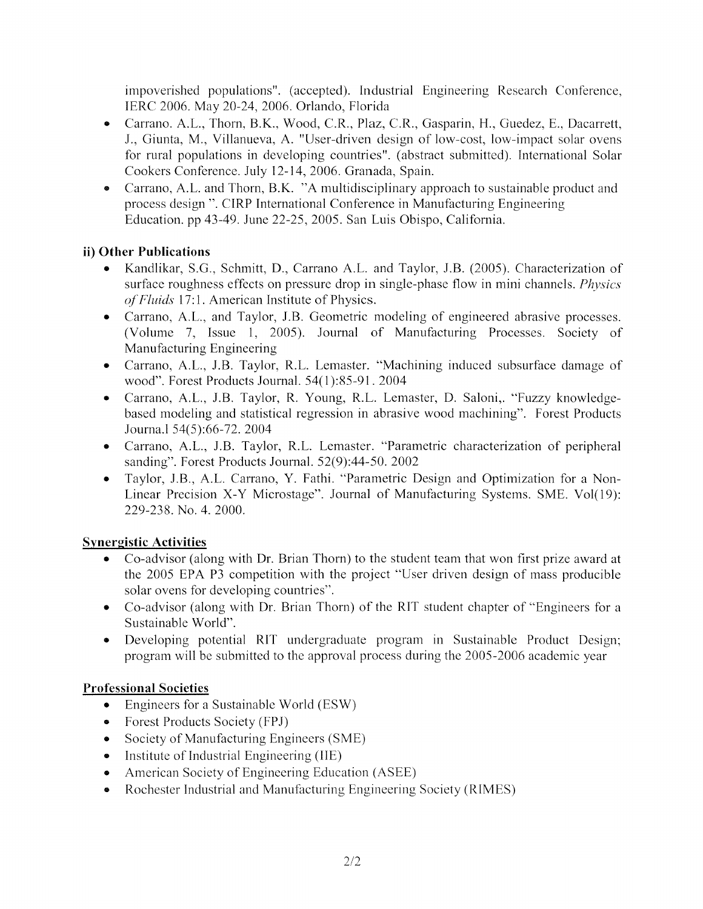impoverished populations". (accepted). Industrial Engineering Research Conference, IERC 2006. May 20-24, 2006. Orlando, Florida

- Carrano, A.L., Thorn, B.K., Wood, C.R., Plaz, C.R., Gasparin, H., Guedez, E., Dacarrett, J., Giunta, M., Villanueva, A. "User-driven design of low-cost, low-impact solar ovens for rural populations in developing countries". (abstract submitted). International Solar Cookers Conference. July 12-14, 2006. Granada, Spain.
- Carrano, A.L. and Thorn, B.K. "A multidisciplinary approach to sustainable product and process design ". CIRP International Conference in Manufacturing Engineering Education. pp 43-49. June 22-25, 2005. San Luis Obispo, California.

# ii) Other Publications

- Kandlikar, S.G., Schmitt, D., Carrano A.L. and Taylor, J.B. (2005). Characterization of surface roughness effects on pressure drop in single-phase flow in mini channels. *Physics* of Fluids 17:1. American Institute of Physics.
- Carrano, A.L., and Taylor, J.B. Geometric modeling of engineered abrasive processes. (Volume 7, Issue 1, 2005). Journal of Manufacturing Processes. Society of Manufacturing Engineering
- · Carrano, A.L., J.B. Taylor, R.L. Lemaster. "Machining induced subsurface damage of wood". Forest Products Journal. 54(1):85-91. 2004
- Carrano, A.L., J.B. Taylor, R. Young, R.L. Lemaster, D. Saloni,. "Fuzzy knowledge- $\bullet$ based modeling and statistical regression in abrasive wood machining". Forest Products Journa.1 54(5):66-72. 2004
- Carrano, A.L., J.B. Taylor, R.L. Lemaster. "Parametric characterization of peripheral sanding". Forest Products Journal. 52(9):44-50. 2002
- · Taylor, J.B., A.L. Carrano, Y. Fathi. "Parametric Design and Optimization for a Non-Linear Precision X-Y Microstage". Journal of Manufacturing Systems. SME. Vol(19): 229-238. No. 4. 2000.

# **Synergistic Activities**

- Co-advisor (along with Dr. Brian Thorn) to the student team that won first prize award at the 2005 EPA P3 competition with the project "User driven design of mass producible solar ovens for developing countries".
- Co-advisor (along with Dr. Brian Thorn) of the RIT student chapter of "Engineers for a Sustainable World".
- Developing potential RIT undergraduate program in Sustainable Product Design; program will be submitted to the approval process during the 2005-2006 academic year

# **Professional Societies**

- $\bullet$  Engineers for a Sustainable World (ESW)
- Forest Products Society (FPJ)
- Society of Manufacturing Engineers (SME)
- Institute of Industrial Engineering (IIE)
- American Society of Engineering Education (ASEE)
- Rochester Industrial and Manufacturing Engineering Society (RIMES)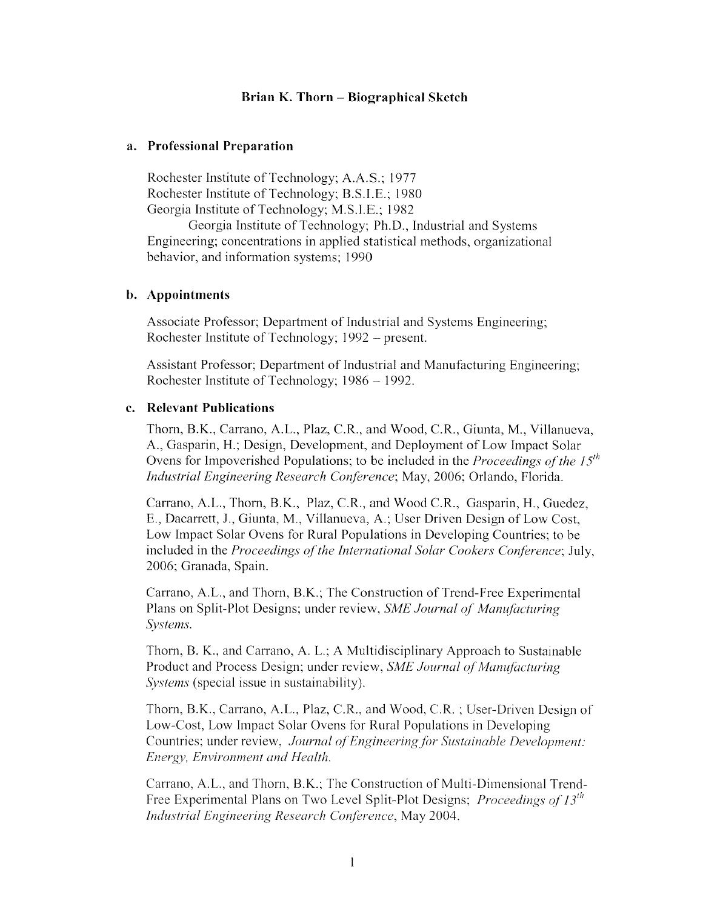# Brian K. Thorn – Biographical Sketch

### a. Professional Preparation

Rochester Institute of Technology; A.A.S.; 1977 Rochester Institute of Technology; B.S.I.E.; 1980 Georgia Institute of Technology; M.S.I.E.; 1982

Georgia Institute of Technology; Ph.D., Industrial and Systems Engineering; concentrations in applied statistical methods, organizational behavior, and information systems; 1990

### b. Appointments

Associate Professor; Department of Industrial and Systems Engineering; Rochester Institute of Technology; 1992 – present.

Assistant Professor; Department of Industrial and Manufacturing Engineering; Rochester Institute of Technology; 1986 – 1992.

# c. Relevant Publications

Thorn, B.K., Carrano, A.L., Plaz, C.R., and Wood, C.R., Giunta, M., Villanueva, A., Gasparin, H.; Design, Development, and Deployment of Low Impact Solar Ovens for Impoverished Populations; to be included in the Proceedings of the 15<sup>th</sup> Industrial Engineering Research Conference; May, 2006; Orlando, Florida.

Carrano, A.L., Thorn, B.K., Plaz, C.R., and Wood C.R., Gasparin, H., Guedez, E., Dacarrett, J., Giunta, M., Villanueva, A.; User Driven Design of Low Cost, Low Impact Solar Ovens for Rural Populations in Developing Countries; to be included in the *Proceedings of the International Solar Cookers Conference*; July, 2006; Granada, Spain.

Carrano, A.L., and Thorn, B.K.; The Construction of Trend-Free Experimental Plans on Split-Plot Designs; under review, SME Journal of Manufacturing Systems.

Thorn, B. K., and Carrano, A. L.; A Multidisciplinary Approach to Sustainable Product and Process Design; under review, SME Journal of Manufacturing *Systems* (special issue in sustainability).

Thorn, B.K., Carrano, A.L., Plaz, C.R., and Wood, C.R.; User-Driven Design of Low-Cost, Low Impact Solar Ovens for Rural Populations in Developing Countries; under review, Journal of Engineering for Sustainable Development: Energy, Environment and Health.

Carrano, A.L., and Thorn, B.K.; The Construction of Multi-Dimensional Trend-Free Experimental Plans on Two Level Split-Plot Designs; *Proceedings of 13<sup>th</sup>* Industrial Engineering Research Conference, May 2004.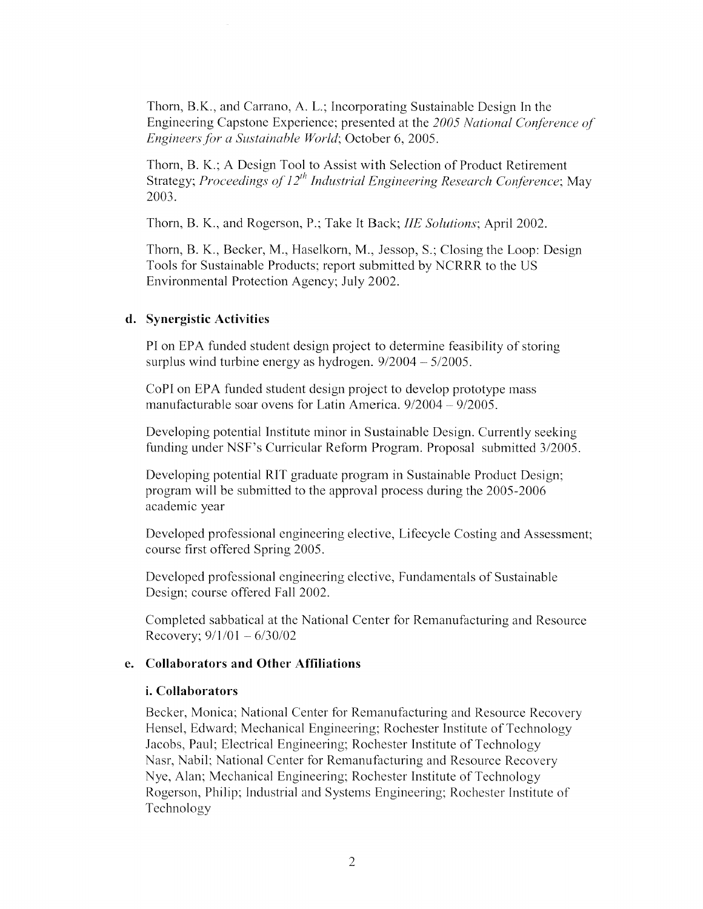Thorn, B.K., and Carrano, A. L.; Incorporating Sustainable Design In the Engineering Capstone Experience; presented at the 2005 National Conference of Engineers for a Sustainable World; October 6, 2005.

Thorn, B. K.; A Design Tool to Assist with Selection of Product Retirement Strategy; *Proceedings of 12<sup>th</sup> Industrial Engineering Research Conference*; May 2003.

Thorn, B. K., and Rogerson, P.; Take It Back; *IIE Solutions*; April 2002.

Thorn, B. K., Becker, M., Haselkorn, M., Jessop, S.; Closing the Loop: Design Tools for Sustainable Products; report submitted by NCRRR to the US Environmental Protection Agency; July 2002.

# d. Synergistic Activities

PI on EPA funded student design project to determine feasibility of storing surplus wind turbine energy as hydrogen.  $9/2004 - 5/2005$ .

CoPI on EPA funded student design project to develop prototype mass manufacturable soar ovens for Latin America. 9/2004 - 9/2005.

Developing potential Institute minor in Sustainable Design. Currently seeking funding under NSF's Curricular Reform Program. Proposal submitted 3/2005.

Developing potential RIT graduate program in Sustainable Product Design; program will be submitted to the approval process during the 2005-2006 academic year

Developed professional engineering elective, Lifecycle Costing and Assessment; course first offered Spring 2005.

Developed professional engineering elective, Fundamentals of Sustainable Design; course offered Fall 2002.

Completed sabbatical at the National Center for Remanufacturing and Resource Recovery;  $9/1/01 - 6/30/02$ 

### e. Collaborators and Other Affiliations

### *i.* Collaborators

Becker, Monica; National Center for Remanufacturing and Resource Recovery Hensel, Edward; Mechanical Engineering; Rochester Institute of Technology Jacobs, Paul; Electrical Engineering; Rochester Institute of Technology Nasr, Nabil; National Center for Remanufacturing and Resource Recovery Nye, Alan; Mechanical Engineering; Rochester Institute of Technology Rogerson, Philip; Industrial and Systems Engineering; Rochester Institute of Technology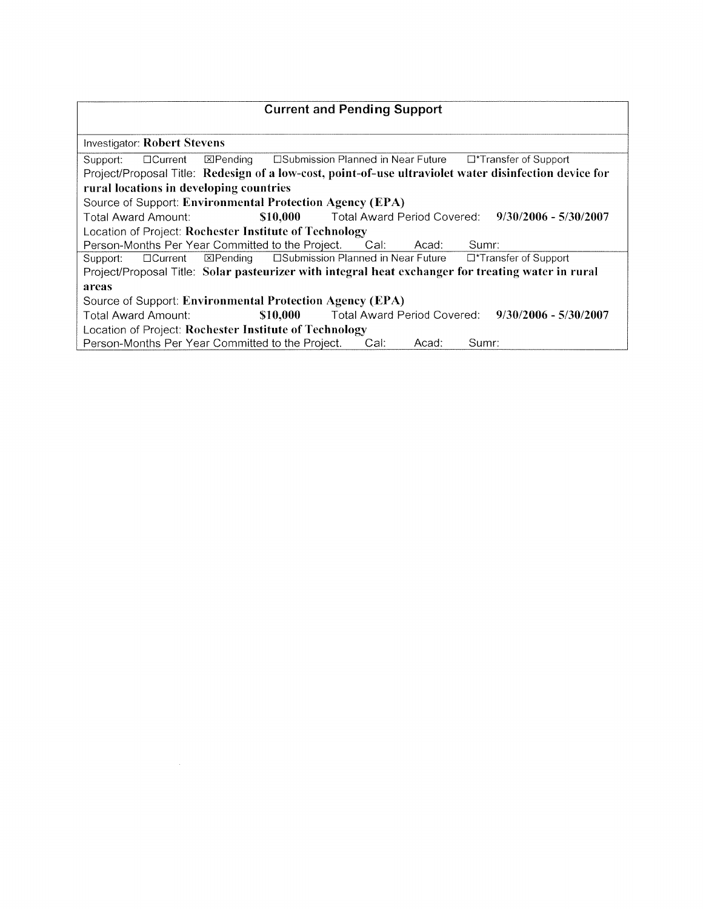| <b>Current and Pending Support</b>                                                                     |  |  |  |  |
|--------------------------------------------------------------------------------------------------------|--|--|--|--|
|                                                                                                        |  |  |  |  |
| <b>Investigator: Robert Stevens</b>                                                                    |  |  |  |  |
| Support: □ Current ⊠Pending □ Submission Planned in Near Future □*Transfer of Support                  |  |  |  |  |
| Project/Proposal Title: Redesign of a low-cost, point-of-use ultraviolet water disinfection device for |  |  |  |  |
| rural locations in developing countries                                                                |  |  |  |  |
| Source of Support: Environmental Protection Agency (EPA)                                               |  |  |  |  |
| \$10,000 Total Award Period Covered: 9/30/2006 - 5/30/2007<br>Total Award Amount:                      |  |  |  |  |
| Location of Project: Rochester Institute of Technology                                                 |  |  |  |  |
| Person-Months Per Year Committed to the Project. Cal:<br>Sumr:<br>Acad:                                |  |  |  |  |
| □Submission Planned in Near Future □ Transfer of Support<br>⊠Pending<br>$\Box$ Current<br>Support:     |  |  |  |  |
| Project/Proposal Title: Solar pasteurizer with integral heat exchanger for treating water in rural     |  |  |  |  |
| areas                                                                                                  |  |  |  |  |
| Source of Support: Environmental Protection Agency (EPA)                                               |  |  |  |  |
| \$10,000 Total Award Period Covered: 9/30/2006 - 5/30/2007<br><b>Total Award Amount:</b>               |  |  |  |  |
| Location of Project: Rochester Institute of Technology                                                 |  |  |  |  |
| Person-Months Per Year Committed to the Project.<br>Cal:<br>Sumr:<br>Acad:                             |  |  |  |  |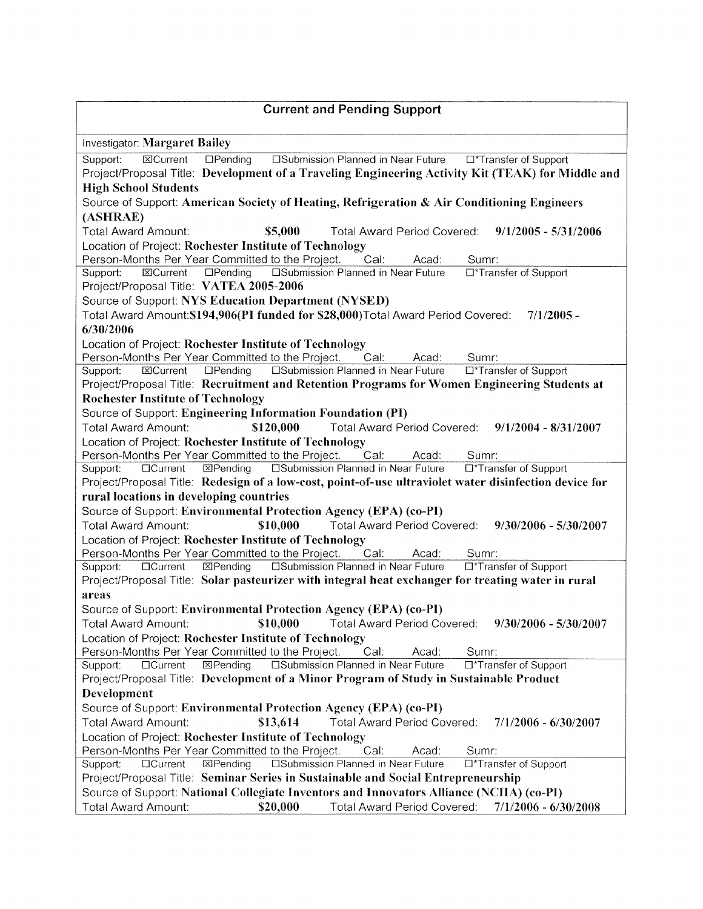| <b>Current and Pending Support</b>                                                                                                   |
|--------------------------------------------------------------------------------------------------------------------------------------|
| <b>Investigator: Margaret Bailey</b>                                                                                                 |
| <b>EXCurrent</b><br>$\Box$ Pending<br><b>Explorition State of The Planned in Near Future</b><br>□*Transfer of Support<br>Support:    |
| Project/Proposal Title: Development of a Traveling Engineering Activity Kit (TEAK) for Middle and                                    |
| <b>High School Students</b>                                                                                                          |
| Source of Support: American Society of Heating, Refrigeration & Air Conditioning Engineers                                           |
| (ASHRAE)                                                                                                                             |
| <b>Total Award Amount:</b><br>\$5,000<br>$9/1/2005 - 5/31/2006$<br>Total Award Period Covered:                                       |
| Location of Project: Rochester Institute of Technology                                                                               |
| Person-Months Per Year Committed to the Project.<br>Cal.<br>Acad:<br>Sumr:                                                           |
| <b>CISubmission Planned in Near Future</b><br>$D$ Pending<br>□*Transfer of Support<br><b>ECurrent</b><br>Support:                    |
| Project/Proposal Title: VATEA 2005-2006                                                                                              |
| Source of Support: NYS Education Department (NYSED)                                                                                  |
| Total Award Amount: \$194,906(PI funded for \$28,000) Total Award Period Covered:<br>$7/1/2005 -$                                    |
| 6/30/2006                                                                                                                            |
| Location of Project: Rochester Institute of Technology                                                                               |
| Person-Months Per Year Committed to the Project.<br>Cal:<br>Sumr:<br>Acad:                                                           |
| <b>OSubmission Planned in Near Future</b><br><b>EXCurrent</b><br>$D$ Pending<br>□*Transfer of Support<br>Support:                    |
| Project/Proposal Title: Recruitment and Retention Programs for Women Engineering Students at                                         |
| <b>Rochester Institute of Technology</b>                                                                                             |
| Source of Support: Engineering Information Foundation (PI)                                                                           |
| \$120,000<br><b>Total Award Amount:</b><br>Total Award Period Covered: 9/1/2004 - 8/31/2007                                          |
| Location of Project: Rochester Institute of Technology                                                                               |
| Person-Months Per Year Committed to the Project.<br>Cal:<br>Acad:<br>Sumr:                                                           |
| $\overline{\mathbb{Z}}$ Pending<br><b>ESubmission Planned in Near Future</b><br><b>OCurrent</b><br>□*Transfer of Support<br>Support: |
| Project/Proposal Title: Redesign of a low-cost, point-of-use ultraviolet water disinfection device for                               |
| rural locations in developing countries                                                                                              |
| Source of Support: Environmental Protection Agency (EPA) (co-PI)                                                                     |
| \$10,000<br><b>Total Award Amount:</b><br>Total Award Period Covered: 9/30/2006 - 5/30/2007                                          |
| Location of Project: Rochester Institute of Technology                                                                               |
| Person-Months Per Year Committed to the Project.<br>Cal:<br>Sumr:<br>Acad:                                                           |
| <b>E</b> Pending<br><b>CISubmission Planned in Near Future</b><br>□*Transfer of Support<br>Support:<br><b>OCurrent</b>               |
| Project/Proposal Title: Solar pasteurizer with integral heat exchanger for treating water in rural                                   |
| areas                                                                                                                                |
| Source of Support: Environmental Protection Agency (EPA) (co-PI)                                                                     |
| \$10,000<br><b>Total Award Period Covered:</b><br>$9/30/2006 - 5/30/2007$<br><b>Total Award Amount:</b>                              |
| Location of Project: Rochester Institute of Technology                                                                               |
| Person-Months Per Year Committed to the Project.<br>Cal:<br>Acad:<br>Sumr:                                                           |
| □Submission Planned in Near Future<br>⊠Pending<br>□*Transfer of Support<br><b>OCurrent</b><br>Support:                               |
| Project/Proposal Title: Development of a Minor Program of Study in Sustainable Product                                               |
| Development                                                                                                                          |
| Source of Support: Environmental Protection Agency (EPA) (co-PI)                                                                     |
| <b>Total Award Period Covered:</b><br>Total Award Amount:<br>\$13,614<br>$7/1/2006 - 6/30/2007$                                      |
| Location of Project: Rochester Institute of Technology                                                                               |
| Person-Months Per Year Committed to the Project.<br>Cal:<br>Acad:<br>Sumr:                                                           |
| 区Pending<br>□Submission Planned in Near Future<br>□*Transfer of Support<br>Support:<br>$\Box$ Current                                |
| Project/Proposal Title: Seminar Series in Sustainable and Social Entrepreneurship                                                    |
| Source of Support: National Collegiate Inventors and Innovators Alliance (NCIIA) (co-PI)                                             |
| Total Award Amount:<br>\$20,000<br>Total Award Period Covered:<br>$7/1/2006 - 6/30/2008$                                             |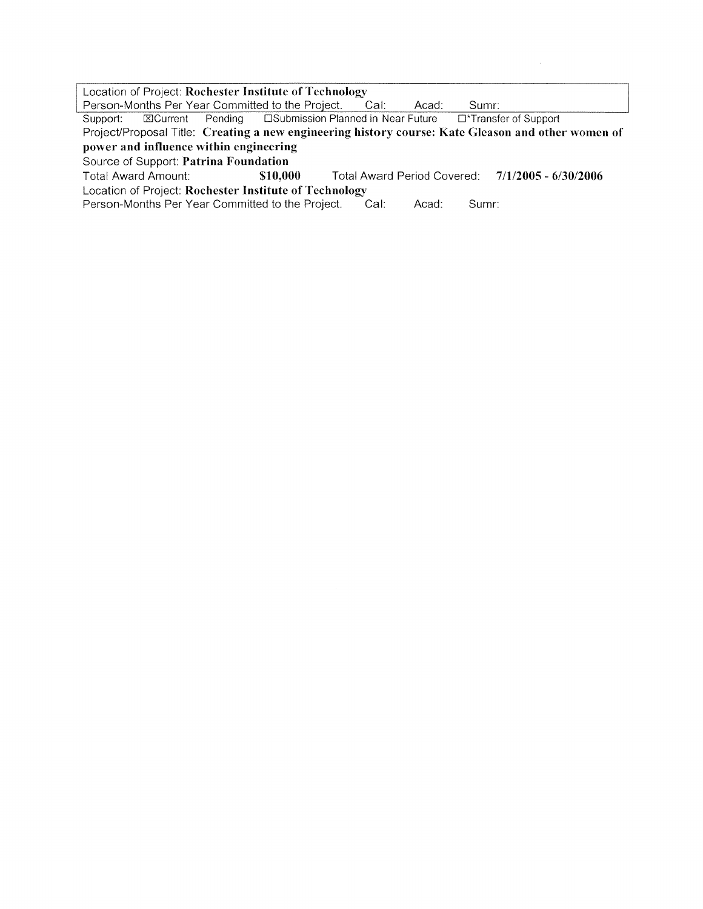Location of Project: Rochester Institute of Technology Person-Months Per Year Committed to the Project. Cal: Acad: Sumr: **Example 15** DSubmission Planned in Near Future T\*Transfer of Support Support: **EXCurrent** Pending Project/Proposal Title: Creating a new engineering history course: Kate Gleason and other women of power and influence within engineering Source of Support: Patrina Foundation Total Award Amount: \$10,000 Total Award Period Covered:  $7/1/2005 - 6/30/2006$ Location of Project: Rochester Institute of Technology Person-Months Per Year Committed to the Project. Cal: Acad: Sumr: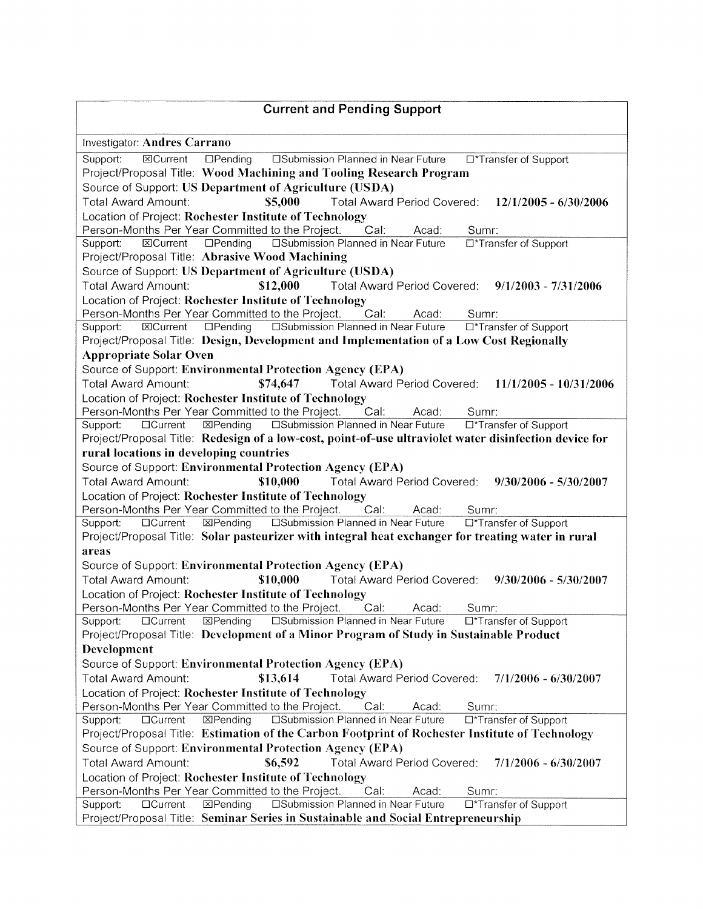| <b>Current and Pending Support</b>                                                                                   |
|----------------------------------------------------------------------------------------------------------------------|
| Investigator: Andres Carrano                                                                                         |
| 図Current<br>□Submission Planned in Near Future □*Transfer of Support<br>Support:<br>$D$ Pending                      |
| Project/Proposal Title: Wood Machining and Tooling Research Program                                                  |
| Source of Support: US Department of Agriculture (USDA)                                                               |
| <b>Total Award Amount:</b><br>Total Award Period Covered:<br>\$5,000<br>$12/1/2005 - 6/30/2006$                      |
| Location of Project: Rochester Institute of Technology                                                               |
| Person-Months Per Year Committed to the Project.<br>Cal:<br>Acad:<br>Sumr:                                           |
| <b>ISubmission Planned in Near Future</b><br>$\Box$ Pending<br>□*Transfer of Support<br><b>X</b> Current<br>Support: |
| Project/Proposal Title: Abrasive Wood Machining                                                                      |
| Source of Support: US Department of Agriculture (USDA)                                                               |
| \$12,000<br>Total Award Period Covered: 9/1/2003 - 7/31/2006<br><b>Total Award Amount:</b>                           |
| Location of Project: Rochester Institute of Technology                                                               |
| Person-Months Per Year Committed to the Project.<br>Cal:<br>Acad:<br>Sumr:                                           |
| <b>ElSubmission Planned in Near Future</b><br><b>ECurrent</b><br>$\Box$ Pending<br>□*Transfer of Support<br>Support: |
| Project/Proposal Title: Design, Development and Implementation of a Low Cost Regionally                              |
| <b>Appropriate Solar Oven</b>                                                                                        |
| Source of Support: Environmental Protection Agency (EPA)                                                             |
| Total Award Period Covered: 11/1/2005 - 10/31/2006<br><b>Total Award Amount:</b><br>\$74,647                         |
| Location of Project: Rochester Institute of Technology                                                               |
| Person-Months Per Year Committed to the Project.<br>Cal:<br>Acad:<br>Sumr:                                           |
| □Submission Planned in Near Future<br>⊠Pending<br>□*Transfer of Support<br>Support:<br>$\Box$ Current                |
| Project/Proposal Title: Redesign of a low-cost, point-of-use ultraviolet water disinfection device for               |
| rural locations in developing countries                                                                              |
| Source of Support: Environmental Protection Agency (EPA)                                                             |
| Total Award Amount:<br>\$10,000<br>Total Award Period Covered: 9/30/2006 - 5/30/2007                                 |
|                                                                                                                      |
|                                                                                                                      |
| Location of Project: Rochester Institute of Technology                                                               |
| Person-Months Per Year Committed to the Project.<br>Cal:<br>Acad:<br>Sumr:                                           |
| <b>ISubmission Planned in Near Future</b><br>図Pending<br><b>DCurrent</b><br>□*Transfer of Support<br>Support:        |
| Project/Proposal Title: Solar pasteurizer with integral heat exchanger for treating water in rural                   |
| areas                                                                                                                |
| Source of Support: Environmental Protection Agency (EPA)                                                             |
| \$10,000<br>Total Award Period Covered: 9/30/2006 - 5/30/2007<br><b>Total Award Amount:</b>                          |
| Location of Project: Rochester Institute of Technology                                                               |
| Person-Months Per Year Committed to the Project.<br>Cal:<br>Sumr:<br>Acad:                                           |
| 区Pending<br>□Submission Planned in Near Future<br>Support:<br>$\Box$ Current<br>□*Transfer of Support                |
| Project/Proposal Title: Development of a Minor Program of Study in Sustainable Product                               |
| Development                                                                                                          |
| Source of Support: Environmental Protection Agency (EPA)                                                             |
| \$13,614<br>Total Award Period Covered:<br><b>Total Award Amount:</b><br>$7/1/2006 - 6/30/2007$                      |
| Location of Project: Rochester Institute of Technology                                                               |
| Person-Months Per Year Committed to the Project.<br>Cal:<br>Acad:<br>Sumr:                                           |
| □Submission Planned in Near Future<br>区Pending<br>□*Transfer of Support<br><b>OCurrent</b><br>Support:               |
| Project/Proposal Title: Estimation of the Carbon Footprint of Rochester Institute of Technology                      |
| Source of Support: Environmental Protection Agency (EPA)                                                             |
| <b>Total Award Amount:</b><br>Total Award Period Covered:<br>\$6,592<br>$7/1/2006 - 6/30/2007$                       |
| Location of Project: Rochester Institute of Technology                                                               |
| Person-Months Per Year Committed to the Project.<br>Cal:<br>Acad:<br>Sumr:                                           |
| 区Pending<br>□Submission Planned in Near Future<br>□*Transfer of Support<br>$\Box$ Current<br>Support:                |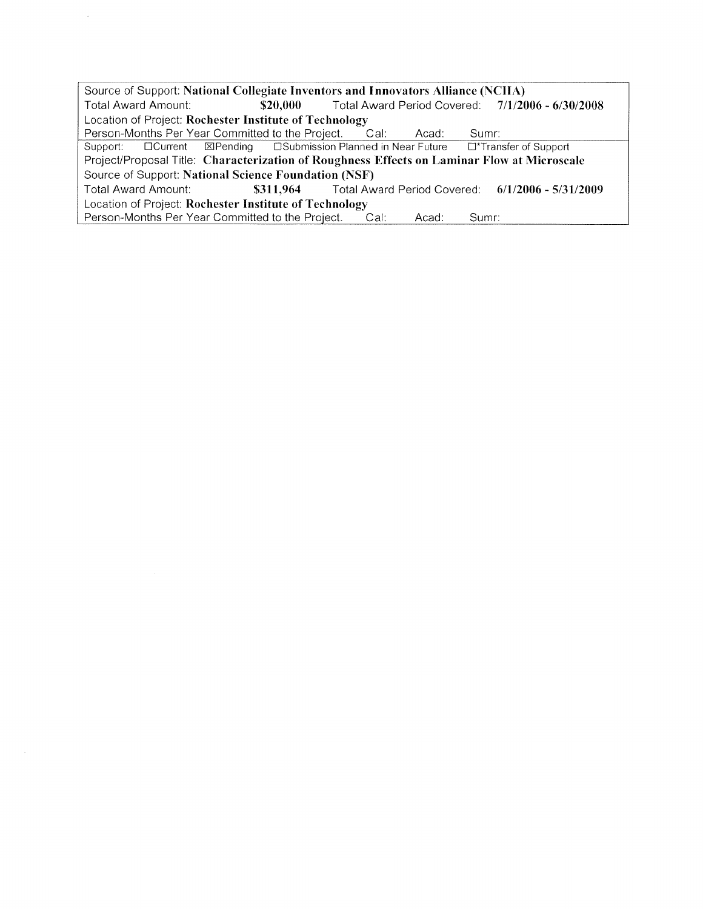Source of Support: National Collegiate Inventors and Innovators Alliance (NCIIA) Total Award Amount: \$20,000 Total Award Period Covered: 7/1/2006 - 6/30/2008 Location of Project: Rochester Institute of Technology Person-Months Per Year Committed to the Project. Cal: Acad: Sumr: **ESubmission Planned in Near Future**  $\Box$ Current **D\*Transfer of Support** Support: **ElPending** Project/Proposal Title: Characterization of Roughness Effects on Laminar Flow at Microscale Source of Support: National Science Foundation (NSF) Total Award Amount: \$311,964 **Total Award Period Covered:**  $6/1/2006 - 5/31/2009$ Location of Project: Rochester Institute of Technology Person-Months Per Year Committed to the Project. Cal: Acad: Sumr:

 $\bar{z}$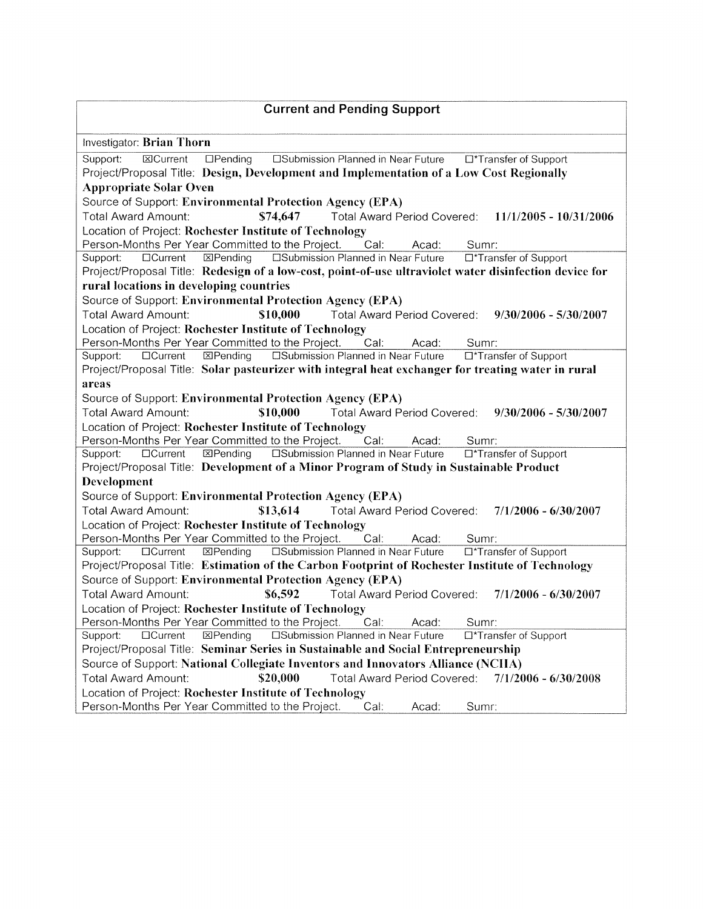| <b>Current and Pending Support</b>                                                                                                                                                                  |
|-----------------------------------------------------------------------------------------------------------------------------------------------------------------------------------------------------|
| Investigator: Brian Thorn                                                                                                                                                                           |
| □Submission Planned in Near Future □*Transfer of Support<br><b>ECurrent</b><br>$\Box$ Pending<br>Support:                                                                                           |
| Project/Proposal Title: Design, Development and Implementation of a Low Cost Regionally                                                                                                             |
| <b>Appropriate Solar Oven</b>                                                                                                                                                                       |
| Source of Support: Environmental Protection Agency (EPA)                                                                                                                                            |
| Total Award Amount:<br>Total Award Period Covered: 11/1/2005 - 10/31/2006<br>\$74,647                                                                                                               |
| Location of Project: Rochester Institute of Technology                                                                                                                                              |
| Person-Months Per Year Committed to the Project.<br>Cal.<br>Acad:<br>Sumr:                                                                                                                          |
| <b>EXPending</b><br><b>ESubmission Planned in Near Future</b><br>Support:<br>□Current<br>□*Transfer of Support                                                                                      |
| Project/Proposal Title: Redesign of a low-cost, point-of-use ultraviolet water disinfection device for                                                                                              |
| rural locations in developing countries                                                                                                                                                             |
| Source of Support: Environmental Protection Agency (EPA)                                                                                                                                            |
| \$10,000<br>Total Award Period Covered: 9/30/2006 - 5/30/2007<br>Total Award Amount:                                                                                                                |
| Location of Project: Rochester Institute of Technology                                                                                                                                              |
| Person-Months Per Year Committed to the Project.<br>Cal.<br>Acad:<br>Sumr:                                                                                                                          |
| 図Pending<br><b>ESubmission Planned in Near Future</b><br>□Current<br>□*Transfer of Support<br>Support:                                                                                              |
| Project/Proposal Title: Solar pasteurizer with integral heat exchanger for treating water in rural                                                                                                  |
| areas                                                                                                                                                                                               |
| Source of Support: Environmental Protection Agency (EPA)                                                                                                                                            |
| \$10,000<br>Total Award Amount:<br>Total Award Period Covered: 9/30/2006 - 5/30/2007                                                                                                                |
| Location of Project: Rochester Institute of Technology                                                                                                                                              |
| Person-Months Per Year Committed to the Project.<br>Cal:<br>Acad:<br>Sumr:                                                                                                                          |
| <b>ESubmission Planned in Near Future</b><br><b>EXPending</b><br>□Current<br>□*Transfer of Support<br>Support:                                                                                      |
| Project/Proposal Title: Development of a Minor Program of Study in Sustainable Product                                                                                                              |
| Development                                                                                                                                                                                         |
| Source of Support: Environmental Protection Agency (EPA)                                                                                                                                            |
| \$13,614<br>Total Award Amount:<br>Total Award Period Covered: 7/1/2006 - 6/30/2007                                                                                                                 |
| Location of Project: Rochester Institute of Technology                                                                                                                                              |
| Person-Months Per Year Committed to the Project.<br>Cal:<br>Acad:<br>Sumr:<br>$\overline{\boxtimes}$ Pending<br>□Submission Planned in Near Future<br>□Current<br>□*Transfer of Support<br>Support: |
| Project/Proposal Title: Estimation of the Carbon Footprint of Rochester Institute of Technology                                                                                                     |
| Source of Support: Environmental Protection Agency (EPA)                                                                                                                                            |
| <b>Total Award Amount:</b><br>\$6,592<br><b>Total Award Period Covered:</b><br>$7/1/2006 - 6/30/2007$                                                                                               |
| Location of Project: Rochester Institute of Technology                                                                                                                                              |
| Person-Months Per Year Committed to the Project.<br>Cal:<br>Acad:<br>Sumr:                                                                                                                          |
| ⊠Pending<br>□Submission Planned in Near Future<br>$\Box$ Current<br>Support:<br>□*Transfer of Support                                                                                               |
| Project/Proposal Title: Seminar Series in Sustainable and Social Entrepreneurship                                                                                                                   |
| Source of Support: National Collegiate Inventors and Innovators Alliance (NCIIA)                                                                                                                    |
| <b>Total Award Amount:</b><br>\$20,000<br>Total Award Period Covered:<br>$7/1/2006 - 6/30/2008$                                                                                                     |
| Location of Project: Rochester Institute of Technology                                                                                                                                              |
| Person-Months Per Year Committed to the Project.<br>Cal:<br>Acad:<br>Sumr:                                                                                                                          |